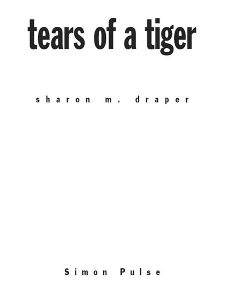# tears of a tiger

sharon m. draper

Simon Pulse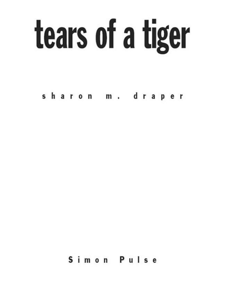# tears of a tiger

sharon m. draper

Simon Pulse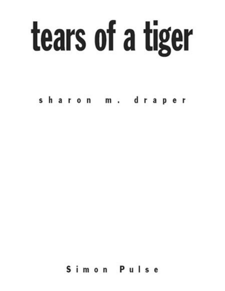# tears of a tiger

sharon m. draper

Simon Pulse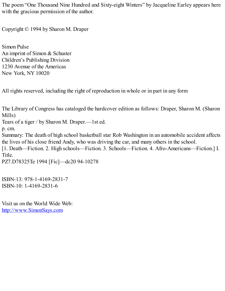The poem "One Thousand Nine Hundred and Sixty-eight Winters" by Jacqueline Earley appears here with the gracious permission of the author.

Copyright © 1994 by Sharon M. Draper

Simon Pulse An imprint of Simon & Schuster Children's Publishing Division 1230 Avenue of the Americas New York, NY 10020

All rights reserved, including the right of reproduction in whole or in part in any form

The Library of Congress has cataloged the hardcover edition as follows: Draper, Sharon M. (Sharon Mills)

Tears of a tiger / by Sharon M. Draper.—1st ed.

p. cm.

Summary: The death of high school basketball star Rob Washington in an automobile accident affects the lives of his close friend Andy, who was driving the car, and many others in the school.

[1. Death—Fiction. 2. High schools—Fiction. 3. Schools—Fiction. 4. Afro-Americans—Fiction.] I. Title.

PZ7.D78325Te 1994 [Fic]—dc20 94-10278

ISBN-13: 978-1-4169-2831-7 ISBN-10: 1-4169-2831-6

Visit us on the World Wide Web: <http://www.SimonSays.com>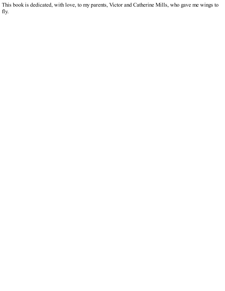This book is dedicated, with love, to my parents, Victor and Catherine Mills, who gave me wings to fly.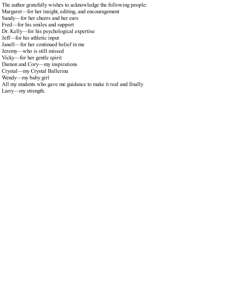The author gratefully wishes to acknowledge the following people: Margaret—for her insight, editing, and encouragement Sandy—for her cheers and her ears Fred—for his smiles and support Dr. Kelly—for his psychological expertise Jeff—for his athletic input Janell—for her continued belief in me Jeremy—who is still missed Vicky—for her gentle spirit Damon and Cory—my inspirations Crystal—my Crystal Ballerina Wendy—my baby girl All my students who gave me guidance to make it real and finally Larry—my strength.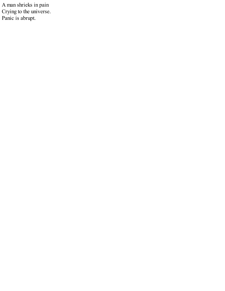A man shrieks in pain Crying to the universe. Panic is abrupt.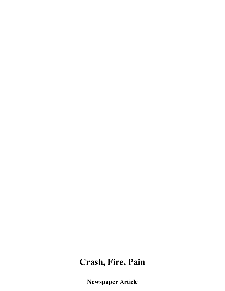# **Crash, Fire, Pain**

**Newspaper Article**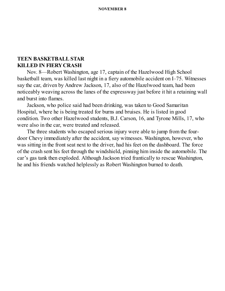#### **TEEN BASKETBALL STAR KILLED IN FIERYCRASH**

Nov. 8—Robert Washington, age 17, captain of the Hazelwood High School basketball team, was killed last night in a fiery automobile accident on I–75. Witnesses say the car, driven by Andrew Jackson, 17, also of the Hazelwood team, had been noticeably weaving across the lanes of the expressway just before it hit a retaining wall and burst into flames.

Jackson, who police said had been drinking, was taken to Good Samaritan Hospital, where he is being treated for burns and bruises. He is listed in good condition. Two other Hazelwood students, B.J. Carson, 16, and Tyrone Mills, 17, who were also in the car, were treated and released.

The three students who escaped serious injury were able to jump from the fourdoor Chevy immediately after the accident, say witnesses. Washington, however, who was sitting in the front seat next to the driver, had his feet on the dashboard. The force of the crash sent his feet through the windshield, pinning him inside the automobile. The car's gas tank then exploded. Although Jackson tried frantically to rescue Washington, he and his friends watched helplessly as Robert Washington burned to death.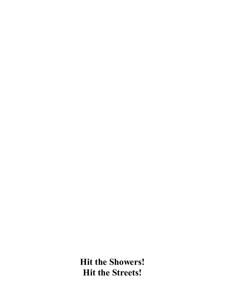**Hit the Showers! Hit the Streets!**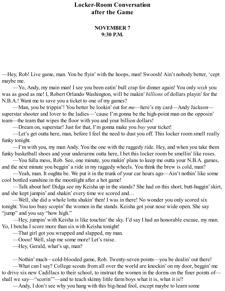### **Locker-Room Conversation after the Game**

#### **NOVEMBER 7 9:30 P.M.**

—Hey, Rob! Live game, man. You be flyin' with the hoops, man! Swoosh! Ain't nobody better, 'cept maybe me.

—Yo, Andy, my main man! I see you been eatin' bull crap for dinner again! You only *wish* you was as good as me! I, Robert Orlando Washington, will be makin' *billions* of dollars playin' for the N.B.A.! Want me to save you a ticket to one of my games?

—Man, you be trippin'! You better be lookin' out for *me*—here's my card—Andy Jackson superstar shooter and lover to the ladies—'cause I'm gonna be the high-point man on the opposin' team—the team that wipes the floor with you and your billion dollars!

—Dream on, superstar! Just for that, I'm gonna make you *buy* your ticket!

—Let's get outta here, man, before I feel the need to dust you off. This locker room smell really funky tonight.

—I'm with you, my man Andy. You the one with the raggedy ride. Hey, and when you take them funky basketball shoes and your underarms outta here, I bet this locker room be smellin' like roses.

—You fulla mess, Rob. See, one minute, you makin' plans to keep me outta your N.B.A. games, and the next minute you beggin' a ride in my raggedy wheels. You think the brew is cold, man?

—Yeah, man. It oughta be. We put it in the trunk of your car hours ago—Ain't nothin' like some cool bottled sunshine in the moonlight after a hot game!

—Talk about hot! Didga see my Keisha up in the stands? She had on this short, butt-huggin'skirt, and she kept jumpin' and shakin' every time we scored and…

—Well, she did a whole lotta shakin' then! I was in there! No wonder you only scored six tonight. You too busy scopin' the women in the stands. Keisha got your nose wide open. She say "jump" and you say "how high."

—Hey, jumpin' with Keisha is like touchin' the sky. I'd say I had an honorable excuse, my man. Yo, I betcha I score more than six with Keisha tonight!

—That girl got you wrapped and slapped, my man.

—Oooo! Well, slap me some more! Let's raise.

—Hey, Gerald, what's up, man?

—Nothin' much—cold-blooded game, Rob. Twenty-seven points—you be dealin' out there! —What can I say? College scouts from all over the world are knockin' on my door, beggin' me to drive six new Cadillacs to their school, to instruct the women in the dorms on the finer points of—

shall we say—"scorin" —and to teach skinny little farm boys what it is, what it is!!

—Andy, I don't see why you hang with this big-head fool, except maybe to learn some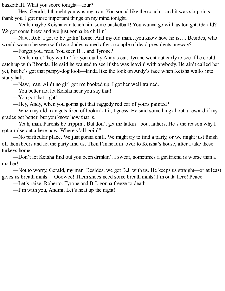basketball. What you score tonight—four?

—Hey, Gerald, I thought you was my man. You sound like the coach—and it was six points, thank you. I got more important things on my mind tonight.

—Yeah, maybe Keisha can teach him some basketball! You wanna go with us tonight, Gerald? We got some brew and we just gonna be chillin'.

—Naw, Rob. I got to be gettin' home. And my old man…you know how he is…. Besides, who would wanna be seen with two dudes named after a couple of dead presidents anyway?

—Forget you, man. You seen B.J. and Tyrone?

—Yeah, man. They waitin' for you out by Andy's car. Tyrone went out early to see if he could catch up with Rhonda. He said he wanted to see if she was leavin' with anybody. He ain't called her yet, but he's got that puppy-dog look—kinda like the look on Andy's face when Keisha walks into study hall.

—Naw, man. Ain't no girl got me hooked up. I got her well trained.

—You better not let Keisha hear you say that!

—You got that right!

—Hey, Andy, when you gonna get that raggedy red car of yours painted?

—When my old man gets tired of lookin' at it, I guess. He said something about a reward if my grades get better, but you know how that is.

—Yeah, man. Parents be trippin'. But don't get me talkin' 'bout fathers. He's the reason why I gotta raise outta here now. Where y'all goin'?

—No particular place. We just gonna chill. We might try to find a party, or we might just finish off them beers and let the party find us. Then I'm headin' over to Keisha's house, after I take these turkeys home.

—Don't let Keisha find out you been drinkin'. I swear, sometimes a girlfriend is worse than a mother!

—Not to worry, Gerald, my man. Besides, we got B.J. with us. He keeps us straight—or at least gives us breath mints.—Ooowee! Them shoes need some breath mints! I'm outta here! Peace.

—Let's raise, Roberto. Tyrone and B.J. gonna freeze to death.

—I'm with you, Andini. Let's heat up the night!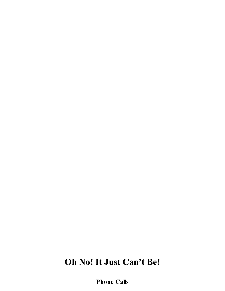# **Oh No! It Just Can't Be!**

**Phone Calls**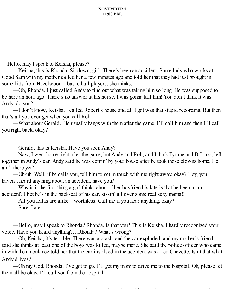—Hello, may I speak to Keisha, please?

—Keisha, this is Rhonda. Sit down, girl. There's been an accident. Some lady who works at Good Sam with my mother called her a few minutes ago and told her that they had just brought in some kids from Hazelwood—basketball players, she thinks.

—Oh, Rhonda, I just called Andy to find out what was taking him so long. He was supposed to be here an hour ago. There's no answer at his house. I was gonna kill him! You don't think it was Andy, do you?

—I don't know, Keisha. I called Robert's house and all I got was that stupid recording. But then that's all you ever get when you call Rob.

—What about Gerald? He usually hangs with them after the game. I'll call him and then I'll call you right back, okay?

—Gerald, this is Keisha. Have you seen Andy?

—Naw, I went home right after the game, but Andy and Rob, and I think Tyrone and B.J. too, left together in Andy's car. Andy said he was comin' by your house after he took those clowns home. He ain't there yet?

—Uh-uh. Well, if he calls you, tell him to get in touch with me right away, okay? Hey, you haven't heard anything about an accident, have you?

—Why is it the first thing a girl thinks about if her boyfriend is late is that he been in an accident? I bet he's in the backseat of his car, kissin' all over some real sexy mama!!

—All you fellas are alike—worthless. Call me if you hear anything, okay?

—Sure. Later.

—Hello, may I speak to Rhonda? Rhonda, is that you? This is Keisha. I hardly recognized your voice. Have you heard anything?…Rhonda? What's wrong?

—Oh, Keisha, it's terrible. There was a crash, and the car exploded, and my mother's friend said she thinks at least one of the boys was killed, maybe more. She said the police officer who came in with the ambulance told her that the car involved in the accident was a red Chevette. Isn't that what Andy drives?

—Oh my God. Rhonda, I've got to go. I'll get my mom to drive me to the hospital. Oh, please let them all be okay. I'll call you from the hospital.

—Rhonda, me again. I'm here at the hospital…. It's Robbie Washington. He's…He's…He's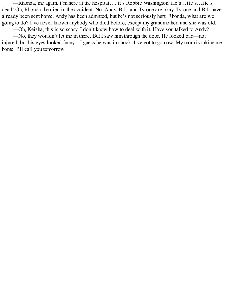—Rhonda, me again. I'm here at the hospital…. It's Robbie Washington. He's…He's…He's dead! Oh, Rhonda, he died in the accident. No, Andy, B.J., and Tyrone are okay. Tyrone and B.J. have already been sent home. Andy has been admitted, but he's not seriously hurt. Rhonda, what are we going to do? I've never known anybody who died before, except my grandmother, and she was old.

—Oh, Keisha, this is so scary. I don't know how to deal with it. Have you talked to Andy?

—No, they wouldn't let me in there. But I saw him through the door. He looked bad—not injured, but his eyes looked funny—I guess he was in shock. I've got to go now. My mom is taking me home. I'll call you tomorrow.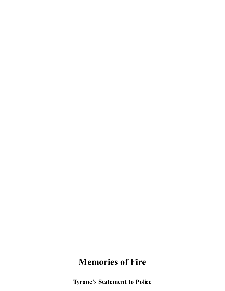## **Memories of Fire**

**Tyrone's Statement to Police**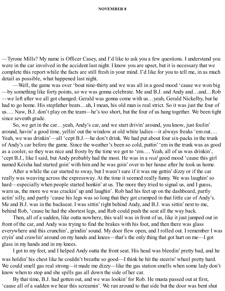#### **NOVEMBER 8**

—Tyrone Mills? My name is Officer Casey, and I'd like to ask you a few questions. I understand you were in the car involved in the accident last night. I know you are upset, but it is necessary that we complete this report while the facts are still fresh in your mind. I'd like for you to tell me, in as much detail as possible, what happened last night.

—Well, the game was over 'bout nine-thirty and we was all in a good mood 'cause we won big —by something like forty points, so we was gonna celebrate. Me and B.J. and Andy and…and…Rob —we left after we all got changed. Gerald was gonna come with us…yeah, Gerald Nickelby, but he had to go home. His stepfather beats...uh, I mean, his old man is real strict. So it was just the four of us…. Naw, B.J. don't play on the team—he's too short, but the four of us hang together. We been tight since seventh grade.

So, we get in the car…yeah, Andy's car, and we start drivin' around, you know, just foolin' around, havin' a good time, yellin' out the window at old white ladies—it always freaks 'em out…. Yeah, we was drinkin'—all 'cept B.J.—he don't drink. We had put about four six-packs in the trunk of Andy's car before the game. Since the weather's been so cold, puttin' 'em in the trunk was as good as a cooler, so they was nice and frosty by the time we got to 'em…. Yeah, all of us was drinkin', 'cept B.J., like I said, but Andy probably had the most. He was in a *real* good mood 'cause this girl named Keisha had started goin' with him and he was goin' over to her house after he took us home.

After a while the car started to sway, but I wasn't sure if it was me gettin' dizzy or if the car really was weaving across the expressway. At the time it seemed really funny. We was laughin'so hard—especially when people started honkin' at us. The more they tried to signal us, and I guess, warn us, the more we was crackin' up and laughin'. Rob had his feet up on the dashboard, partly actin'silly, and partly 'cause his legs was so long that they got cramped in that little car of Andy's. Me and B.J. was in the backseat. I was sittin' right behind Andy, and B.J. was sittin' next to me, behind Rob, 'cause he had the shortest legs, and Rob could push the seat all the way back.

Then, all of a sudden, like outta nowhere, this wall was in front of us, like it just jumped out in front of the car, and Andy was trying to find the brakes with his foot, and then there was glass everywhere and this crunchin', grindin'sound. My door flew open, and I rolled out. I remember I was cryin' and crawlin' around on my hands and knees—that's the only thing that got hurt on me—I got glass in my hands and in my knees.

I got to my feet, and I helped Andy outta the front seat. His head was bleedin' pretty bad, and he was holdin' his chest like he couldn't breathe so good—I think he hit the steerin' wheel pretty hard. We could smell gas real strong—it made me dizzy—like the gas station smells when some lady don't know when to stop and she spills gas all down the side of her car.

By that time, B.J. had gotten out, and we was lookin' for Rob. He musta passed out at first, 'cause all of a sudden we hear this screamin'. We ran around to that side but the door was bent shut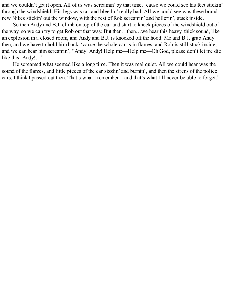and we couldn't get it open. All of us was screamin' by that time, 'cause we could see his feet stickin' through the windshield. His legs was cut and bleedin' really bad. All we could see was these brandnew Nikes stickin' out the window, with the rest of Rob screamin' and hollerin', stuck inside.

So then Andy and B.J. climb on top of the car and start to knock pieces of the windshield out of the way, so we can try to get Rob out that way. But then…then…we hear this heavy, thick sound, like an explosion in a closed room, and Andy and B.J. is knocked off the hood. Me and B.J. grab Andy then, and we have to hold him back, 'cause the whole car is in flames, and Rob is still stuck inside, and we can hear him screamin', "Andy! Andy! Help me—Help me—Oh God, please don't let me die like this! Andy!…"

He screamed what seemed like a long time. Then it was real quiet. All we could hear was the sound of the flames, and little pieces of the car sizzlin' and burnin', and then the sirens of the police cars. I think I passed out then. That's what I remember—and that's what I'll never be able to forget."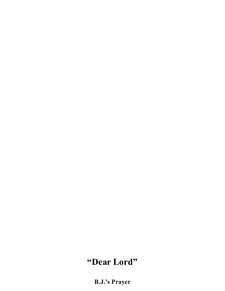## **"Dear Lord"**

**B.J.'s Prayer**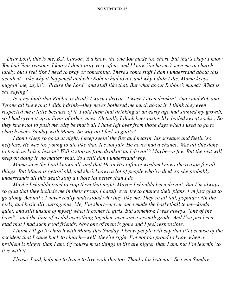#### **NOVEMBER 15**

-Dear Lord, this is me, B.J. Carson. You know, the one You made too short. But that's okay; I know You had Your reasons. I know I don't pray very often, and I know You haven't seen me in church lately, but I feel like I need to pray or something. There's some stuff I don't understand about this *accident—like why it happened and why Robbie had to die and why I didn't die. Mama keeps huggin' me, sayin', "Praise the Lord" and stuf like that. But what about Robbie's mama? What is she saying?*

Is it my fault that Robbie is dead? I wasn't drivin'. I wasn't even drinkin'. Andy and Rob and *Tyrone all knew that I didn't drink—they never bothered me much about it. I think they even* respected me a little because of it. I told them that drinking at an early age had stunted my growth, so I had given it up in favor of other vices. (Actually I think beer tastes like boiled sweat socks.) So they knew not to push me. Maybe that's all I have left over from those days when I used to go to *church every Sunday with Mama. So why do I feel so guilty?*

*I don't sleep so good at night. I keep seein' the fire and hearin' his screams and feelin'so* helpless. He was too young to die like that. It's not fair. He never had a chance. Was all this done to teach us kids a lesson? Will it stop us from drinkin' and drivin'? Maybe—a few. But the rest will *keep on doing it, no matter what. So I still don't understand why.*

*Mama says the Lord knows all, and that He in His infinite wisdom knows the reason for all things. But Mama is gettin' old, and she's known a lot of people who've died, so she probably understands all this death stuf a whole lot better than I do.*

*Maybe I shoulda tried to stop them that night. Maybe I shoulda been drivin'. But I'm always* so glad that they include me in their group, I hardly ever try to change their plans. I'm just glad to *go along. Actually, I never really understood why they like me. They're all tall, popular with the girls, and basically outrageous. Me, I'm short—never once made the basketball team—kinda* quiet, and still unsure of myself when it comes to girls. But somehow, I was always "one of the *boys"—and the four of us did everything together, ever since seventh grade. And I've just been glad that I had such good friends. Now one of them is gone and I feel responsible.*

I think I'll go to church with Mama this Sunday. I know people will say that it's because of the *accident that I came back to church—well, they're right. I'm not too proud to know when a* problem is bigger than I am. Of course most things in life are bigger than I am, but I'm learnin' to *live with it.*

*Please, Lord, help me to learn to live with this too. Thanks for listenin'. See you Sunday.*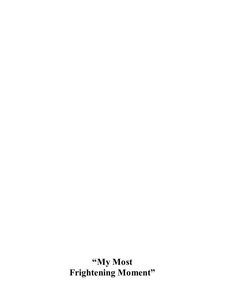**"My Most Frightening Moment"**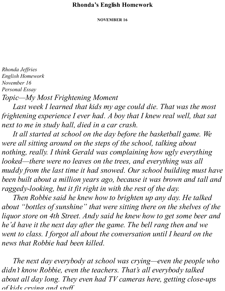### **Rhonda's English Homework**

**NOVEMBER 16**

*Rhonda Jef ries English Homework November 16 Personal Essay Topic—My Most Frightening Moment*

*Last week I learned that kids my age could die. That was the most frightening experience I ever had. A boy that I knew real well, that sat next to me in study hall, died in a car crash.*

*It all started at school on the day before the basketball game. We were all sitting around on the steps of the school, talking about nothing, really. I think Gerald was complaining how ugly everything looked—there were no leaves on the trees, and everything was all muddy from the last time it had snowed. Our school building must have been built about a million years ago, because it was brown and tall and raggedy-looking, but it fit right in with the rest of the day.*

*Then Robbie said he knew how to brighten up any day. He talked about "bottles of sunshine " that were sitting there on the shelves of the liquor store on 4th Street. Andy said he knew how to get some beer and he 'd have it the next day after the game. The bell rang then and we went to class. I forgot all about the conversation until I heard on the news that Robbie had been killed.*

*The next day everybody at school was crying—even the people who didn 't know Robbie, even the teachers. That' s all everybody talked about all day long. They even had TV cameras here, getting close-ups of kids crying and stuf .*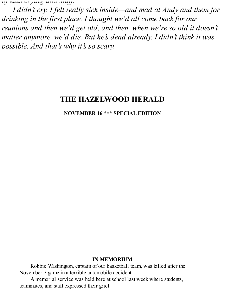*of kids crying and stuf .*

*I didn 't cry. I felt really sick inside—and mad at Andy and them for drinking in the first place. I thought we 'd all come back for our reunions and then we 'd get old, and then, when we ' re so old it doesn 't matter anymore, we 'd die. But he ' s dead already. I didn 't think it was possible. And that' s why it' s so scary.*

## **THE HAZELWOOD HERALD**

**NOVEMBER 16 \*\*\* SPECIAL EDITION**

#### **IN MEMORIUM**

Robbie Washington, captain of our basketball team, was killed after the November 7 game in a terrible automobile accident.

A memorial service was held here at school last week where students, teammates, and staff expressed their grief.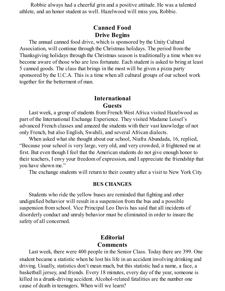Robbie always had a cheerful grin and a positive attitude. He was a talented athlete, and an honor student as well. Hazelwood will miss you, Robbie.

### **Canned Food Drive Begins**

The annual canned food drive, which is sponsored by the Unity Cultural Association, will continue through the Christmas holidays. The period from the Thanksgiving holidays through the Christmas season is traditionally a time when we become aware of those who are less fortunate. Each student is asked to bring at least 5 canned goods. The class that brings in the most will be given a pizza party sponsored by the U.C.A. This is a time when all cultural groups of our school work together for the betterment of man.

### **International Guests**

Last week, a group of students from French West Africa visited Hazelwood as part of the International Exchange Experience. They visited Madame Loisel's advanced French classes and amazed the students with their vast knowledge of not only French, but also English, Swahili, and several African dialects.

When asked what she thought about our school, Niafra Abundada, 16, replied, "Because your school is very large, very old, and very crowded, it frightened me at first. But even though I feel that the American students do not give enough honor to their teachers, I envy your freedom of expression, and I appreciate the friendship that you have shown me."

The exchange students will return to their country after a visit to New York City.

#### **BUS CHANGES**

Students who ride the yellow buses are reminded that fighting and other undignified behavior will result in a suspension from the bus and a possible suspension from school. Vice Principal Leo Davis has said that all incidents of disorderly conduct and unruly behavior must be eliminated in order to insure the safety of all concerned.

#### **Editorial Comments**

Last week, there were 400 people in the Senior Class. Today there are 399. One student became a statistic when he lost his life in an accident involving drinking and driving. Usually, statistics don't mean much, but this statistic had a name, a face, a basketball jersey, and friends. Every 18 minutes, every day of the year, someone is killed in a drunk-driving accident. Alcohol-related fatalities are the number one cause of death in teenagers. When will we learn?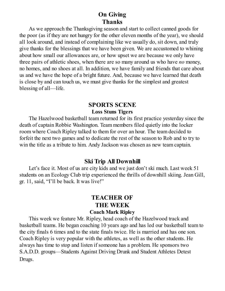#### **On Giving Thanks**

As we approach the Thanksgiving season and start to collect canned goods for the poor (as if they are not hungry for the other eleven months of the year), we should all look around, and instead of complaining like we usually do, sit down, and truly give thanks for the blessings that we have been given. We are accustomed to whining about how small our allowances are, or how upset we are because we only have three pairs of athletic shoes, when there are so many around us who have *no* money, no homes, and no shoes at all. In addition, we have family and friends that care about us and we have the hope of a bright future. And, because we have learned that death is close by and can touch us, we must give thanks for the simplest and greatest blessing of all—life.

## **SPORTS SCENE**

#### **Loss Stuns Tigers**

The Hazelwood basketball team returned for its first practice yesterday since the death of captain Robbie Washington. Team members filed quietly into the locker room where Coach Ripley talked to them for over an hour. The team decided to forfeit the next two games and to dedicate the rest of the season to Rob and to try to win the title as a tribute to him. Andy Jackson was chosen as new team captain.

#### **Ski Trip All Downhill**

Let's face it. Most of us are city kids and we just don't ski much. Last week 51 students on an Ecology Club trip experienced the thrills of downhill skiing. Jean Gill, gr. 11, said, "I'll be back. It was live!"

#### **TEACHER OF THE WEEK Coach Mark Ripley**

This week we feature Mr. Ripley, head coach of the Hazelwood track and basketball teams. He began coaching 10 years ago and has led our basketball team to the city finals 6 times and to the state finals twice. He is married and has one son. Coach Ripley is very popular with the athletes, as well as the other students. He always has time to stop and listen if someone has a problem. He sponsors two S.A.D.D. groups—Students Against Driving Drunk and Student Athletes Detest Drugs.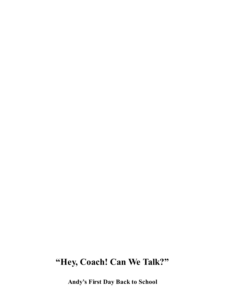# **"Hey, Coach! Can We Talk?"**

**Andy's First Day Back to School**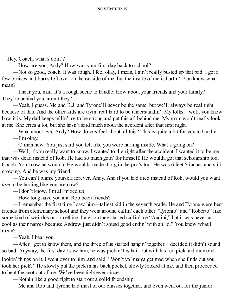### **NOVEMBER 19**

—Hey, Coach, what's doin'?

—How are you, Andy? How was your first day back to school?

—Not so good, coach. It was rough. I feel okay, I mean, I ain't really busted up that bad. I got a few bruises and burns left over on the outside of me, but the inside of me is hurtin'. You know what I mean?

—I hear you, man. It's a rough scene to handle. How about your friends and your family? They're behind you, aren't they?

—Yeah, I guess. Me and B.J. and Tyrone'll never be the same, but we'll always be real tight because of this. And the other kids are tryin' real hard to be understandin'. My folks—well, you know how it is. My dad keeps tellin' me to be strong and put this all behind me. My mom won't really look at me. She cries a lot, but she hasn't said much about the accident after that first night.

—What about *you,* Andy? How do *you* feel about all this? This is quite a bit for you to handle. —I'm okay.

—C'mon now. You just said you felt like you were hurting inside. What's going on?

—Well, if you really want to know, I wanted to die right after the accident. I wanted it to be me that was dead instead of Rob. He had so much goin' for himself. He woulda got that scholarship too, Coach. You know he woulda. He woulda made it big in the pro's too. He was 6 feet 5 inches and still growing. And he was my friend.

—You can't blame yourself forever, Andy. And if you had died instead of Rob, would you want *him* to be hurting like you are now?

—I don't know. I'm all mixed up.

—How long have you and Rob been friends?

—I remember the first time I saw him—tallest kid in the seventh grade. He and Tyrone were best friends from elementary school and they went around callin' each other "Tyronio" and "Roberto" like some kind of weirdos or something. Later on they started callin' me "Andini," but it was never as cool as their names because Andrew just didn't sound good endin' with an "o." You know what I mean?

—Yeah, I hear you.

—After I got to know them, and the three of us started hangin' together, I decided it didn't sound so bad. Anyway, the first day I saw him, he was pickin' his hair out with his red pick and diamondlookin' things on it. I went over to him, and said, "Won't yo' mama get mad when she finds out you took her pick?" He slowly put the pick in his back pocket, slowly looked at me, and then proceeded to beat the snot out of me. We've been tight ever since.

—Nothin like a good fight to start out a solid friendship.

—Me and Rob and Tyrone had most of our classes together, and even went out for the junior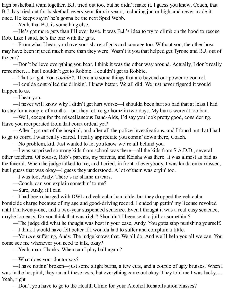high basketball team together. B.J. tried out too, but he didn't make it. I guess you know, Coach, that B.J. has tried out for basketball every year for six years, including junior high, and never made it once. He keeps sayin' he's gonna be the next Spud Webb.

—Yeah, that B.J. is something else.

—He's got more guts than I'll ever have. It was B.J.'s idea to try to climb on the hood to rescue Rob. Like I said, he's the one with the guts.

—From what I hear, you have your share of guts and courage too. Without you, the other boys may have been injured much more than they were. Wasn't it you that helped get Tyrone and B.J. out of the car?

—Don't believe everything you hear. I think it was the other way around. Actually, I don't really remember…. but I couldn't get to Robbie. I couldn't get to Robbie.

—That's right. You *couldn't.* There are some things that are beyond our power to control.

—I coulda controlled the drinkin'. I knew better. We all did. We just never figured it would happen to us.

—I hear you.

—I never will know why I didn't get hurt worse—I shoulda been hurt so bad that at least I had to stay for a couple of months—but they let me go home in two days. My burns weren't too bad.

—Well, except for the miscellaneous Band-Aids, I'd say you look pretty good, considering. Have you recuperated from that court ordeal yet?

—After I got out of the hospital, and after all the police investigations, and I found out that I had to go to court, I was really scared. I really appreciate you comin' down there, Coach.

—No problem, kid. Just wanted to let you know we're all behind you.

—I was surprised so many kids from school was there—all the kids from S.A.D.D., several other teachers. Of course, Rob's parents, my parents, and Keisha was there. It was almost as bad as the funeral. When the judge talked to me, and I cried, in front of everybody, I was kinda embarrassed, but I guess that was okay—I guess they understood. A lot of them was cryin' too.

—I was too, Andy. There's no shame in tears.

—Coach, can you explain somethin' to me?

—Sure, Andy, if I can.

—I had been charged with DWI and vehicular homicide, but they dropped the vehicular homicide charge because of my age and good-driving record. I ended up gettin' my license revoked until I'm twenty-one, and a two-year suspended sentence. Even I thought it was a real easy sentence, maybe too easy. Do you think that was right? Shouldn't I been sent to jail or somethin'?

—The judge did what he thought was best in your case, Andy. You gotta stop punishing yourself.

—I think I would have felt better if I woulda had to suffer and complain a little.

—You *are* suffering, Andy. The judge knows that. We all do. And we'll help you all we can. You come see me whenever you need to talk, okay?

—Yeah, man. Thanks. When can I play ball again?

—What does your doctor say?

—I have nothin' broken—just some slight burns, a few cuts, and a couple of ugly bruises. When I was in the hospital, they ran all these tests, but everything came out okay. They told me I was lucky…. Yeah, right.

—Don't you have to go to the Health Clinic for your Alcohol Rehabilitation classes?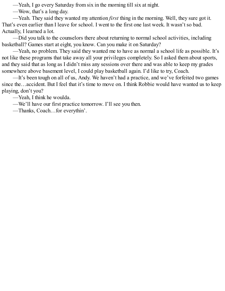—Yeah, I go every Saturday from six in the morning till six at night.

—Wow, that's a long day.

—Yeah. They said they wanted my attention *first* thing in the morning. Well, they sure got it. That's even earlier than I leave for school. I went to the first one last week. It wasn't so bad. Actually, I learned a lot.

—Did you talk to the counselors there about returning to normal school activities, including basketball? Games start at eight, you know. Can you make it on Saturday?

—Yeah, no problem. They said they wanted me to have as normal a school life as possible. It's not like these programs that take away all your privileges completely. So I asked them about sports, and they said that as long as I didn't miss any sessions over there and was able to keep my grades somewhere above basement level, I could play basketball again. I'd like to try, Coach.

—It's been tough on all of us, Andy. We haven't had a practice, and we've forfeited two games since the…accident. But I feel that it's time to move on. I think Robbie would have wanted us to keep playing, don't you?

—Yeah, I think he woulda.

—We'll have our first practice tomorrow. I'll see you then.

—Thanks, Coach…for everythin'.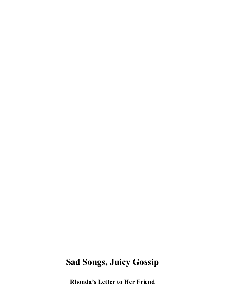# **Sad Songs, Juicy Gossip**

**Rhonda's Letter to Her Friend**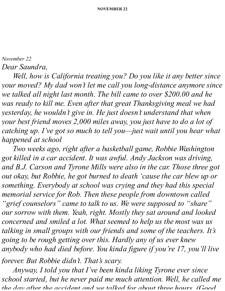## *November 22 Dear Saundra,*

*Well, how is California treating you? Do you like it any better since your moved? My dad won 't let me call you long-distance anymore since we talked all night last month. The bill came to over \$200.00 and he was ready to kill me. Even after that great Thanksgiving meal we had yesterday, he wouldn 't give in. He just doesn 't understand that when your best friend moves 2,000 miles away, you just have to do a lot of catching up. I' ve got so much to tell you—just wait until you hear what happened at school*

*Two weeks ago, right after a basketball game, Robbie Washington got killed in a car accident. It was awful. Andy Jackson was driving, and B.J. Carson and Tyrone Mills were also in the car. Those three got out okay, but Robbie, he got burned to death ' cause the car blew up or something. Everybody at school was crying and they had this special memorial service for Rob. Then these people from downtown called " grief counselors " came to talk to us. We were supposed to " share " our sorrow with them. Yeah, right. Mostly they sat around and looked concerned and smiled a lot. What seemed to help us the most was us talking in small groups with our friends and some of the teachers. It' s going to be rough getting over this. Hardly any of us ever knew anybody who had died before. You kinda figure if you ' re 17, you 'll live*

*forever. But Robbie didn 't. That' s scary.*

*Anyway, I told you that I' ve been kinda liking Tyrone ever since school started, but he never paid me much attention. Well, he called me the day after the accident and we talked for about three hours. (Good*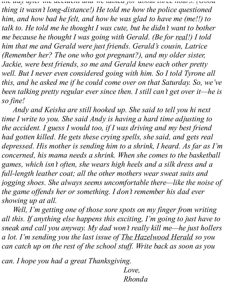*the day after the accident and we talked for about three hours. (Good thing it wasn 't long-distance!) He told me how the police questioned him, and how bad he felt, and how he was glad to have me (me!!) to talk to. He told me he thought I was cute, but he didn 't want to bother me because he thought I was going with Gerald. (Be for real!) I told him that me and Gerald were just friends. Gerald' s cousin, Latrice (Remember her? The one who got pregnant?), and my older sister, Jackie, were best friends, so me and Gerald knew each other pretty well. But I never even considered going with him. So I told Tyrone all this, and he asked me if he could come over on that Saturday. So, we ' ve been talking pretty regular ever since then. I still can 't get over it—he is so fine!*

*Andy and Keisha are still hooked up. She said to tell you hi next time I write to you. She said Andy is having a hard time adjusting to the accident. I guess I would too, if I was driving and my best friend had gotten killed. He gets these crying spells, she said, and gets real depressed. His mother is sending him to a shrink, I heard. As far as I' m concerned, his mama needs a shrink. When she comes to the basketball games, which isn 't often, she wears high heels and a silk dress and a full-length leather coat; all the other mothers wear sweat suits and jogging shoes. She always seems uncomfortable there—like the noise of the game of ends her or something. I don 't remember his dad ever showing up at all.*

*Well, I' m getting one of those sore spots on my finger from writing all this. If anything else happens this exciting, I' m going to just have to sneak and call you anyway. My dad won 't really kill me—he just hollers a lot. I' m sending you the last issue of The Hazelwood Herald so you can catch up on the rest of the school stuf . Write back as soon as you*

*can. I hope you had a great Thanksgiving.*

*Love, Rhonda*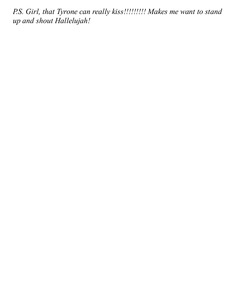*P.S. Girl, that Tyrone can really kiss!!!!!!!!! Makes me want to stand up and shout Hallelujah!*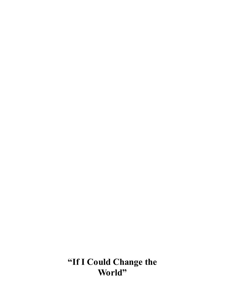**"If I Could Change the World"**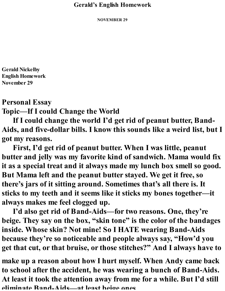## **Gerald's English Homework**

**NOVEMBER 29**

**Gerald Nickelby English Homework November 29**

**Personal Essay**

**Topic—If I could Change the World**

**If I could change the world I'd get rid of peanut butter, Band-Aids, and five-dollar bills. I know this sounds like a weird list, but I got my reasons.**

**First, I'd get rid of peanut butter. When I was little, peanut butter and jelly was my favorite kind of sandwich. Mama would fix it as a special treat and it always made my lunch box smell so good. But Mama left and the peanut butter stayed. We get it free, so there's jars of it sitting around. Sometimes that's all there is. It sticks to my teeth and it seems like it sticks my bones together—it always makes me feel clogged up.**

**I'd also get rid of Band-Aids—for two reasons. One, they're beige. They say on the box, "skin tone" is the color of the bandages inside. Whose skin? Not mine! So I HATE wearing Band-Aids because they're so noticeable and people always say, "How'd you get that cut, or that bruise, or those stitches?" And I always have to**

**make up a reason about how I hurt myself. When Andy came back to school after the accident, he was wearing a bunch of Band-Aids. At least it took the attention away from me for a while. But I'd still eliminate Band-Aids—at least beige ones.**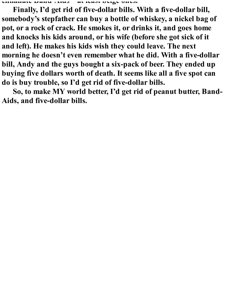### **eliminate Band-Aids—at least beige ones.**

**Finally, I'd get rid of five-dollar bills. With a five-dollar bill, somebody's stepfather can buy a bottle of whiskey, a nickel bag of pot, or a rock of crack. He smokes it, or drinks it, and goes home and knocks his kids around, or his wife (before she got sick of it and left). He makes his kids wish they could leave. The next morning he doesn't even remember what he did. With a five-dollar bill, Andy and the guys bought a six-pack of beer. They ended up buying five dollars worth of death. It seems like all a five spot can do is buy trouble, so I'd get rid of five-dollar bills.**

**So, to make MY world better, I'd get rid of peanut butter, Band-Aids, and five-dollar bills.**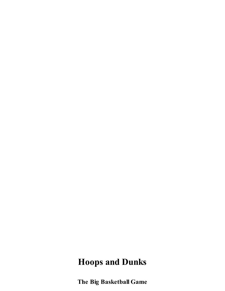# **Hoops and Dunks**

**The Big Basketball Game**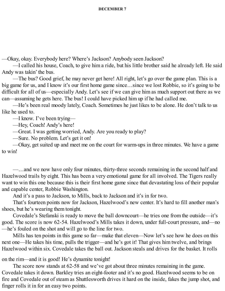### **DECEMBER 7**

—Okay, okay. Everybody here? Where's Jackson? Anybody seen Jackson?

—I called his house, Coach, to give him a ride, but his little brother said he already left. He said Andy was takin' the bus.

—The bus? Good grief, he may never get here! All right, let's go over the game plan. This is a big game for us, and I know it's our first home game since…since we lost Robbie, so it's going to be difficult for all of us—especially Andy. Let's see if we can give him as much support out there as we can—assuming he gets here. The bus! I could have picked him up if he had called me.

—He's been real moody lately, Coach. Sometimes he just likes to be alone. He don't talk to us like he used to.

—I know. I've been trying—

—Hey, Coach! Andy's here!

—Great. I was getting worried, Andy. Are you ready to play?

—Sure. No problem. Let's get it on!

—Okay, get suited up and meet me on the court for warm-ups in three minutes. We have a game to win!

—…and we now have only four minutes, thirty-three seconds remaining in the second half and Hazelwood trails by eight. This has been a very emotional game for all involved. The Tigers really want to win this one because this is their first home game since that devastating loss of their popular and capable center, Robbie Washington.

And it's a pass to Jackson, to Mills, back to Jackson and it's in for two.

That's fourteen points now for Jackson, Hazelwood's new center. It's hard to fill another man's shoes, but he's wearing them tonight.

Covedale's Stefanski is ready to move the ball downcourt—he tries one from the outside—it's good. The score is now 62-54. Hazelwood's Mills takes it down, under full-court pressure, and—no —he's fouled on the shot and will go to the line for two.

Mills has ten points in this game so far—make that eleven—Now let's see how he does on this next one—He takes his time, pulls the trigger—and he's got it! That gives him twelve, and brings Hazelwood within six. Covedale takes the ball out. Jackson steals and drives for the basket. It rolls

on the rim—and it is good! He's dynamite tonight!

The score now stands at 62-58 and we've got about three minutes remaining in the game. Covedale takes it down. Barkley tries an eight-footer and it's no good. Hazelwood seems to be on fire and Covedale out of steam as Shuttlesworth drives it hard on the inside, fakes the jump shot, and finger rolls it in for an easy two points.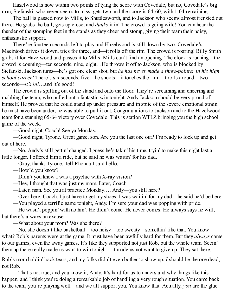Hazelwood is now within two points of tying the score with Covedale, but no, Covedale's big man, Stefanski, who never seems to miss, gets two and the score is 64-60, with 1:04 remaining.

The ball is passed now to Mills, to Shuttlesworth, and to Jackson who seems almost frenzied out there. He grabs the ball, gets up close, and *dunks* it in! The crowd is going wild! You can hear the thunder of the stomping feet in the stands as they cheer and stomp, giving their team their noisy, enthusiastic support.

There're fourteen seconds left to play and Hazelwood is still down by two. Covedale's Macintosh drives it down, tries for three, and—it rolls off the rim. The crowd is roaring! Billy Smith grabs it for Hazelwood and passes it to Mills. Mills can't find an opening. The clock is running—the crowd is counting—ten seconds, nine, eight…He throws it off to Jackson, who is blocked by Stefanski. Jackson turns—he's got one clear shot, but *he has never made a three-pointer in his high school career!* There's six seconds, five—he shoots—it touches the rim—it rolls around—two seconds—*it's in!*…and it's good!

The crowd is spilling out of the stand and onto the floor. They're screaming and cheering and mobbing the team, who pulled out a fantastic win tonight. Andy Jackson should be very proud of himself. He proved that he could stand up under pressure and in spite of the severe emotional strain he must have been under, he was able to pull it out. Congratulations to Jackson and to the Hazelwood team for a stunning 65-64 victory over Covedale. This is station WTLZ bringing you the high school game of the week.

—Good night, Coach! See ya Monday.

—Good night, Tyrone. Great game, son. Are you the last one out? I'm ready to lock up and get out of here.

—No, Andy's still gettin' changed. I guess he's takin' his time, tryin' to make this night last a little longer. I offered him a ride, but he said he was waitin' for his dad.

—Okay, thanks Tyrone. Tell Rhonda I said hello.

—How'd you know?

—Didn't you know I was a psychic with X-ray vision?

—Hey, I thought that was just my mom. Later, Coach.

—Later, man. See you at practice Monday…. Andy—you still here?

—Over here, Coach. I just have to get my shoes. I was waitin' for my dad—he said he'd be here.

—You played a terrific game tonight, Andy. I'm sure your dad was popping with pride.

—He wasn't poppin' with nothin'. He didn't come. He never comes. He always says he will, but there's always an excuse.

—What about your mom? Was she there?

—No, she doesn't like basketball—too noisy—too sweaty—somethin' like that. You know what? Rob's parents were at the game. It must have been awfully hard for them. But they *always* came to our games, even the away games. It's like they supported not just Rob, but the whole team. Seein' them up there really made us want to win tonight—it made us not want to give up. They sat there,

Rob's mom holdin' back tears, and my folks didn't even bother to show up. *I* should be the one dead, not Rob.

—That's not true, and you know it, Andy. It's hard for us to understand why things like this happen, and I think you're doing a remarkable job of handling a very rough situation. You came back to the team, you're playing well—and we all support you. You know that. Actually, *you* are the glue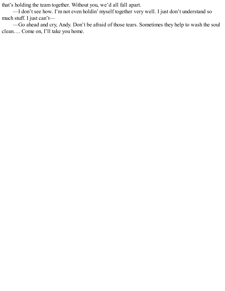that's holding the team together. Without you, we'd all fall apart.

—I don't see how. I'm not even holdin' myself together very well. I just don't understand so much stuff. I just can't—

—Go ahead and cry, Andy. Don't be afraid of those tears. Sometimes they help to wash the soul clean…. Come on, I'll take you home.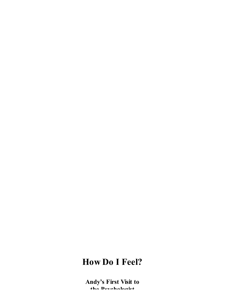# **How Do I Feel?**

**Andy's First Visit to the Psychologist**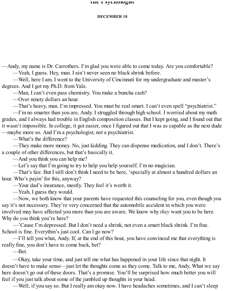#### **the Psychologist**

### **DECEMBER 10**

—Andy, my name is Dr. Carrothers. I'm glad you were able to come today. Are you comfortable? —Yeah, I guess. Hey, man. I ain't never seen no black shrink before.

—Well, here I am. I went to the University of Cincinnati for my undergraduate and master's degrees. And I got my Ph.D. from Yale.

—Man, I can't even pass chemistry. You make a buncha cash?

—Over ninety dollars an hour.

—That's heavy, man. I'm impressed. You must be real smart. I can't even spell "psychiatrist."

—I'm no smarter than you are, Andy. I struggled through high school. I worried about my math grades, and I always had trouble in English composition classes. But I kept going, and I found out that it wasn't impossible. In college, it got easier, once I figured out that I was as capable as the next dude —maybe more so. And I'm a psychologist, not a psychiatrist.

—What's the difference?

—They make more money. No, just kidding. They can dispense medication, and I don't. There's a couple of other differences, but that's basically it.

—And you think you can help me?

—Let's say that I'm going to try to help you help yourself. I'm no magician.

—That's fair. But I still don't think I need to be here, 'specially at almost a hundred dollars an hour. Who's payin' for this, anyway?

—Your dad's insurance, mostly. They feel it's worth it.

—Yeah, I guess they would.

—Now, we both know that your parents have requested this counseling for you, even though you say it's not necessary. They're very concerned that the automobile accident in which you were involved may have affected you more than you are aware. We know why *they* want you to be here. Why do *you* think you're here?

—'Cause I'm depressed. But I don't need a shrink, not even a smart black shrink. I'm fine. School is fine. Everythin's just cool. Can I go now?

—I'll tell you what, Andy. If, at the end of this hour, you have convinced me that everything is really fine, you don't have to come back, bet?

—Bet.

—Okay, take your time, and just tell me what has happened in your life since that night. It doesn't have to make sense—just let the thoughts come as they come. Talk to me, Andy. What we say here doesn't go out of these doors. That's a promise. You'll be surprised how much better you will feel if you just talk about some of the jumbled up thoughts in your head.

—Well, if you say so. But I really am okay now. I have headaches sometimes, and I can't sleep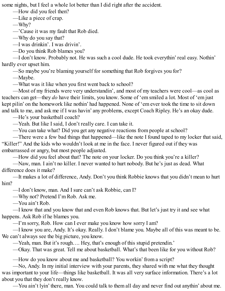some nights, but I feel a whole lot better than I did right after the accident.

—How did you feel then?

—Like a piece of crap.

—Why?

—'Cause it was my fault that Rob died.

—Why do you say that?

—I was drinkin'. I was drivin'.

—Do you think Rob blames you?

—I don't know. Probably not. He was such a cool dude. He took everythin' real easy. Nothin' hardly ever upset him.

—So maybe you're blaming yourself for something that Rob forgives you for?

—Maybe.

—What was it like when you first went back to school?

—Most of my friends were very understandin', and most of my teachers were cool—as cool as teachers can get—they *do* have their limits, you know. Some of 'em smiled a lot. Most of 'em just kept pilin' on the homework like nothin' had happened. None of 'em ever took the time to sit down and talk to me, and ask me if I was havin' any problems, except Coach Ripley. He's an okay dude.

—He's your basketball coach?

—Yeah. But like I said, I don't really care. I can take it.

—You can take what? Did you get any negative reactions from people at school?

—There were a few bad things that happened—like the note I found taped to my locker that said, "Killer!" And the kids who wouldn't look at me in the face. I never figured out if they was embarrassed or angry, but most people adjusted.

—How did you feel about that? The note on your locker. Do you think you're a killer?

—Naw, man. I ain't no killer. I never wanted to hurt nobody. But he's just as dead. What difference does it make?

—It makes a lot of difference, Andy. Don't you think Robbie knows that you didn't mean to hurt him?

—I don't know, man. And I sure can't ask Robbie, can I?

—Why not? Pretend I'm Rob. Ask me.

—You ain't Rob.

—I know that and you know that and even Rob knows that. But let's just try it and see what happens. Ask Rob if he blames you.

—I'm sorry, Rob. How can I ever make you know how sorry I am?

—I know you are, Andy. It's okay. Really. I don't blame you. Maybe all of this was meant to be. We can't always see the big picture, you know.

—Yeah, man. But it's rough…. Hey, that's enough of this stupid pretendin.'

—Okay. That was great. Tell me about basketball. What's that been like for you without Rob?

—How do you know about me and basketball? You workin' from a script?

—No, Andy. In my initial interview with your parents, they shared with me what they thought was important to your life—things like basketball. It was all very surface information. There's a lot about you that they don't really know.

—You ain't lyin' there, man. You could talk to them all day and never find out anythin' about me.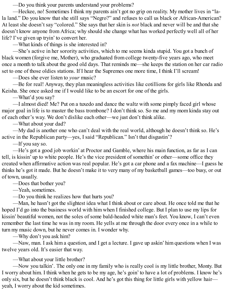—Do you think your parents understand your problems?

—Heckee, no! Sometimes I think my parents ain't got no grip on reality. My mother lives in "lala land." Do you know that she still says "Negro?" and refuses to call us black or African-American? At least she doesn't say "colored." She says that her skin is *not* black and never will be and that she doesn't know anyone from Africa; why should she change what has worked perfectly well all of her life? I've given up tryin' to convert her.

—What kinds of things is she interested in?

—She's active in her sorority activities, which to me seems kinda stupid. You got a bunch of black women (forgive me, Mother), who graduated from college twenty-five years ago, who meet once a month to talk about the good old days. That reminds me—she keeps the station on her car radio set to one of those oldies stations. If I hear the Supremes one more time, I think I'll scream!

—Does she ever listen to *your* music?

—Be for real! Anyway, they plan meaningless activities like cotillions for girls like Rhonda and Keisha. She once asked me if I would like to be an escort for one of the girls.

—What'd you say?

—I almost died! Me? Put on a tuxedo and dance the waltz with some pimply faced girl whose major goal in life is to master the bass trombone? I don't think so. So me and my mom kinda stay out of each other's way. We don't dislike each other—we just don't think alike.

—What about your dad?

—My dad is another one who can't deal with the real world, although he doesn't think so. He's active in the Republican party—yes, I said "Republican." Isn't that disgustin'?

—If you say so.

—He's got a good job workin' at Proctor and Gamble, where his main function, as far as I can tell, is kissin' up to white people. He's the vice president of somethin' or other—some office they created when affirmative action was real popular. He's got a car phone and a fax machine—I guess he thinks he's got it made. But he doesn't make it to very many of my basketball games—too busy, or out of town, usually.

—Does that bother you?

—Yeah, sometimes.

—Do you think he realizes how that hurts you?

—Man, he hasn't got the slightest idea what I think about or care about. He once told me that he hoped I'd go into the business world with him when I finished college. But I plan to use my lips for kissin' beautiful women, not the soles of some bald-headed white man's feet. You know, I can't even remember the last time he was in my room. He yells at me through the door every once in a while to turn my music down, but he never comes in. I wonder why.

—Why don't you ask him?

—Naw, man. I ask him a question, and I get a lecture. I gave up askin' him questions when I was twelve years old. It's easier that way.

—What about your little brother?

—Now you talkin'. The only one in my family who is really cool is my little brother, Monty. But I worry about him. I think when he gets to be my age, he's goin' to have a lot of problems. I know he's only six, but he doesn't think black is cool. And he's got this thing for little girls with yellow hair yeah, I worry about the kid sometimes.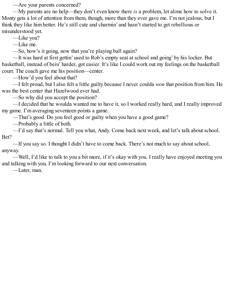—Are your parents concerned?

—My parents are no help—they don't even know there *is* a problem, let alone how to solve it. Monty gets a lot of attention from them, though, more than they ever gave me. I'm not jealous, but I think they like him better. He's still cute and charmin' and hasn't started to get rebellious or misunderstood yet.

—Like you?

—Like me.

—So, how's it going, now that you're playing ball again?

—It was hard at first gettin' used to Rob's empty seat at school and going' by his locker. But basketball, instead of bein' harder, got easier. It's like I could work out my feelings on the basketball court. The coach gave me his position—center.

—How'd you feel about that?

—I felt proud, but I also felt a little guilty because I never coulda *won* that position from him. He was the best center that Hazelwood ever had.

—So why did you accept the position?

—I decided that he woulda wanted me to have it, so I worked really hard, and I really improved my game. I'm averaging seventeen points a game.

—That's good. Do you feel good or guilty when you have a good game?

—Probably a little of both.

—I'd say that's normal. Tell you what, Andy. Come back next week, and let's talk about school. Bet?

—If you say so. I thought I didn't have to come back. There's not much to say about school, anyway.

—Well, I'd like to talk to you a bit more, if it's okay with you. I really have enjoyed meeting you and talking with you. I'm looking forward to our next conversation.

—Later, man.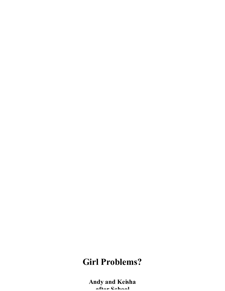# **Girl Problems?**

**Andy and Keisha after School**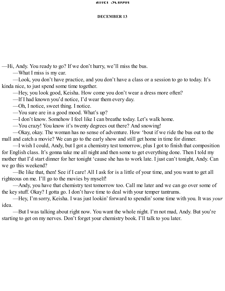#### **after School**

### **DECEMBER 13**

—Hi, Andy. You ready to go? If we don't hurry, we'll miss the bus.

—What I miss is my car.

—Look, you don't have practice, and you don't have a class or a session to go to today. It's kinda nice, to just spend some time together.

—Hey, you look good, Keisha. How come you don't wear a dress more often?

—If I had known you'd notice, I'd wear them every day.

—Oh, I notice, sweet thing. I notice.

—You sure are in a good mood. What's up?

—I don't know. Somehow I feel like I can breathe today. Let's walk home.

—You crazy! You know it's twenty degrees out there? And snowing!

—Okay, okay. The woman has no sense of adventure. How 'bout if we ride the bus out to the mall and catch a movie? We can go to the early show and still get home in time for dinner.

—I wish I could, Andy, but I got a chemistry test tomorrow, plus I got to finish that composition for English class. It's gonna take me all night and then some to get everything done. Then I told my mother that I'd start dinner for her tonight 'cause she has to work late. I just can't tonight, Andy. Can we go this weekend?

—Be like that, then! See if I care! All I ask for is a little of your time, and you want to get all righteous on me. I'll go to the movies by myself!

—Andy, you have that chemistry test tomorrow too. Call me later and we can go over some of the key stuff. Okay? I gotta go. I don't have time to deal with your temper tantrums.

—Hey, I'm sorry, Keisha. I was just lookin' forward to spendin'some time with you. It was *your* idea.

—But I was talking about right now. You want the whole night. I'm not mad, Andy. But you're starting to get on my nerves. Don't forget your chemistry book. I'll talk to you later.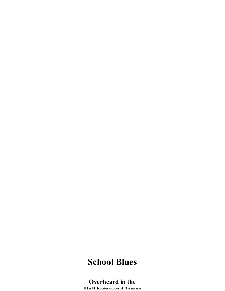# **School Blues**

## **Overheard in the**

**Hall between Classes**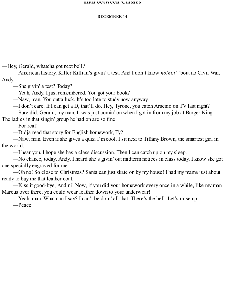#### **Hall between Classes**

### **DECEMBER 14**

—Hey, Gerald, whatcha got next bell?

—American history. Killer Killian's givin' a test. And I don't know *nothin'* 'bout no Civil War, Andy.

—She givin' a test? Today?

—Yeah, Andy. I just remembered. You got your book?

—Naw, man. You outta luck. It's too late to study now anyway.

—I don't care. If I can get a D, that'll do. Hey, Tyrone, you catch Arsenio on TV last night?

—Sure did, Gerald, my man. It was just comin' on when I got in from my job at Burger King. The ladies in that singin' group he had on are so fine!

—For real!

—Didja read that story for English homework, Ty?

—Naw, man. Even if she gives a quiz, I'm cool. I sit next to Tiffany Brown, the smartest girl in the world.

—I hear you. I hope she has a class discussion. Then I can catch up on my sleep.

—No chance, today, Andy. I heard she's givin' out midterm notices in class today. I know she got one specially engraved for me.

—Oh no! So close to Christmas? Santa can just skate on by my house! I had my mama just about ready to buy me that leather coat.

—Kiss it good-bye, Andini! Now, if you did your homework every once in a while, like my man Marcus over there, you could wear leather down to your underwear!

—Yeah, man. What can I say? I can't be doin' all that. There's the bell. Let's raise up.

—Peace.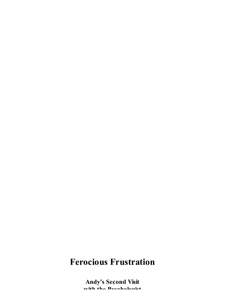# **Ferocious Frustration**

**Andy's Second Visit with the Psychologist**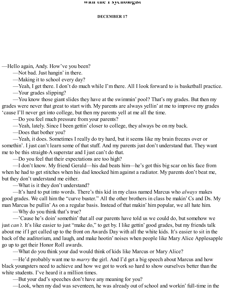#### **with the Psychologist**

### **DECEMBER 17**

—Hello again, Andy. How've you been?

—Not bad. Just hangin' in there.

—Making it to school every day?

—Yeah, I get there. I don't do much while I'm there. All I look forward to is basketball practice.

—Your grades slipping?

—You know those giant slides they have at the swimmin' pool? That's my grades. But then my grades were never that great to start with. My parents are always yellin' at me to improve my grades 'cause I'll never get into college, but then my parents yell at me all the time.

—Do you feel much pressure from your parents?

—Yeah, lately. Since I been gettin' closer to college, they always be on my back.

—Does that bother you?

—Yeah, it does. Sometimes I really do try hard, but it seems like my brain freezes over or somethin'. I just can't learn some of that stuff. And my parents just don't understand that. They want me to be this straight-A superstar and I just can't do that.

—Do you feel that their expectations are too high?

—I don't know. My friend Gerald—his dad beats him—he's got this big scar on his face from when he had to get stitches when his dad knocked him against a radiator. My parents don't beat me, but they don't understand me either.

—What is it they don't understand?

—It's hard to put into words. There's this kid in my class named Marcus who *always* makes good grades. We call him the "curve buster." All the other brothers in class be makin' Cs and Ds. My man Marcus be pullin' As on a regular basis. Instead of that makin' him popular, we all hate him.

—Why do you think that's true?

—'Cause he's doin'somethin' that all our parents have told us we could do, but somehow we just *can't*. It's like easier to just "make do," to get by. I like gettin' good grades, but my friends talk about me if I get called up to the front on Awards Day with all the white kids. It's easier to sit in the back of the auditorium, and laugh, and make hootin' noises when people like Mary Alice Applesapple go up to get their Honor Roll awards.

—What do you think your dad would think of kids like Marcus or Mary Alice?

—He'd probably want me to *marry* the girl. And I'd get a big speech about Marcus and how black youngsters need to achieve and how we got to work so hard to show ourselves better than the white students. I've heard it a million times.

—But your dad's speeches don't have any meaning for you?

—Look, when my dad was seventeen, he was already out of school and workin' full-time in the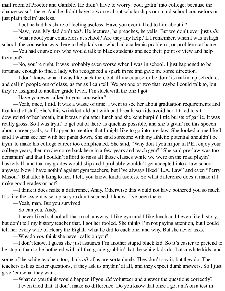mail room of Proctor and Gamble. He didn't have to worry 'bout gettin' into college, because the chance wasn't there. And he didn't have to worry about scholarships or stupid school counselors or just plain feelin' useless.

—I bet he had his share of feeling useless. Have you ever talked to him about it?

—Naw, man. My dad don't *talk.* He lectures, he preaches, he yells. But we don't ever just *talk.* —What about your counselors at school? Are they any help? If I remember, when I was in high

school, the counselor was there to help kids out who had academic problems, or problems at home. —You had counselors who would talk to black students and see their point of view and help them out?

—No, you're right. It was probably even worse when I was in school. I just happened to be fortunate enough to find a lady who recognized a spark in me and gave me some direction.

—I don't know what it was like back then, but all my counselor be doin' is makin' up schedules and callin' people out of class, as far as I can tell. We got one or two that maybe I could talk to, but they're assigned to another grade level. I'm stuck with the one I got.

—Have you ever talked to your counselor?

—Yeah, once, I did. It was a waste of time. I went to see her about graduation requirements and that kind of stuff. She's this wrinkled old bat with bad breath, so kids avoid her. I tried to sit downwind of her breath, but it was right after lunch and she kept burpin' little bursts of garlic. It was really gross. So I was tryin' to get out of there as quick as possible, and she's givin' me this speech about career goals, so I happen to mention that I might like to go into pre-law. She looked at me like I said I wanna see her with her pants down. She said someone with my athletic potential shouldn't be tryin' to make his college career too complicated. She said, "Why don't you major in P.E., enjoy your college years, then maybe come back here in a few years and teach gym?" She said pre-law was too demandin' and that I couldn't afford to miss all those classes while we were on the road playin' basketball, and that my grades would slip and I probably wouldn't get accepted into a law school anyway. Now I have nothin' against gym teachers, but I've always liked "L.A. Law" and even "Perry Mason." But after talking to her, I felt, you know, kinda useless. So what difference does it make if I make good grades or not?

—I think it does make a difference, Andy. Otherwise this would not have bothered you so much. It's like the system is set up so you don't succeed. I know. I've been there.

—Yeah, man. But you survived.

—So can you, Andy.

—I never liked school all that much anyway. I like gym and I like lunch and I even like history, but don't tell my history teacher that. I got her fooled. She thinks I'm not paying attention, but I could tell her every wife of Henry the Eighth, what he did to each one, and why. But she never asks.

—Why do *you* think she never calls on you?

—I don't know. I guess she just assumes I'm another stupid black kid. So it's easier to pretend to be stupid than to be bothered with all that grade-grubbin' that the white kids do. Lotsa white kids, and

some of the white teachers too, think *all* of us are sorta dumb. They don't say it, but they do. The teachers ask us easier questions, if they ask us anythin' at all, and they expect dumb answers. So I just give 'em what they want.

—What do you think would happen if you *did* volunteer and answer the questions correctly?

—I even tried that. It don't make no difference. Do you know that once I got an A on a test in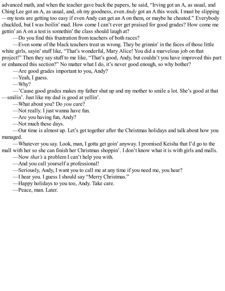advanced math, and when the teacher gave back the papers, he said, "Irving got an A, as usual, and Ching Lee got an A, as usual, and, oh my goodness, even *Andy* got an A this week. I must be slipping —my tests are getting too easy if even Andy can get an A on them, or maybe he cheated." Everybody chuckled, but I was boilin' mad. How come I can't ever get praised for good grades? How come me gettin' an A on a test is somethin' the class should laugh at?

—Do you find this frustration from teachers of both races?

—Even some of the black teachers treat us wrong. They be grinnin' in the faces of those little white girls, sayin'stuff like, "That's wonderful, Mary Alice! You did a marvelous job on that project!" Then they say stuff to me like, "That's good, Andy, but couldn't you have improved this part or enhanced this section?" No matter what I do, it's never good enough, so why bother?

—Are good grades important to you, Andy?

—Yeah, I guess.

—Why?

—'Cause good grades makes my father shut up and my mother to smile a lot. She's good at that —smilin'. Just like my dad is good at yellin'.

—What about you? Do *you* care?

—Not really. I just wanna have fun.

—Are you having fun, Andy?

—Not much these days.

—Our time is almost up. Let's get together after the Christmas holidays and talk about how you managed.

—Whatever you say. Look, man, I gotta get goin' anyway. I promised Keisha that I'd go to the mall with her so she can finish her Christmas shoppin'. I don't know what it is with girls and malls.

—Now *that's* a problem I can't help you with.

—And you call yourself a professional!

—Seriously, Andy, I want you to call me at any time if you need me, you hear?

—I hear you. I guess I should say "Merry Christmas."

—Happy holidays to you too, Andy. Take care.

—Peace, man. Later.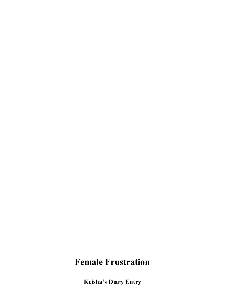# **Female Frustration**

**Keisha's Diary Entry**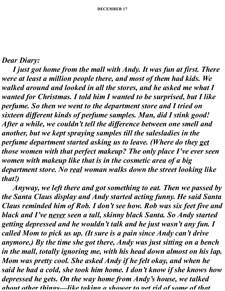## *Dear Diary:*

*I just got home from the mall with Andy. It was fun at first. There were at least a million people there, and most of them had kids. We walked around and looked in all the stores, and he asked me what I wanted for Christmas. I told him I wanted to be surprised, but I like perfume. So then we went to the department store and I tried on sixteen dif erent kinds of perfume samples. Man, did I stink good! After a while, we couldn't tell the dif erence between one smell and another, but we kept spraying samples till the salesladies in the perfume department started asking us to leave. (Where do they get those women with that perfect makeup? The only place I've ever seen women with makeup like that is in the cosmetic area of a big department store. No real woman walks down the street looking like that!)*

*Anyway, we left there and got something to eat. Then we passed by the Santa Claus display and Andy started acting funny. He said Santa Claus reminded him of Rob. I don't see how. Rob was six feet five and black and I've never seen a tall, skinny black Santa. So Andy started getting depressed and he wouldn't talk and he just wasn't any fun. I called Mom to pick us up. (It sure is a pain since Andy can't drive anymore.) By the time she got there, Andy was just sitting on a bench in the mall, totally ignoring me, with his head down almost on his lap. Mom was pretty cool. She asked Andy if he felt okay, and when he said he had a cold, she took him home. I don't know if she knows how depressed he gets. On the way home from Andy's house, we talked about other things—like taking a shower to get rid of some of that*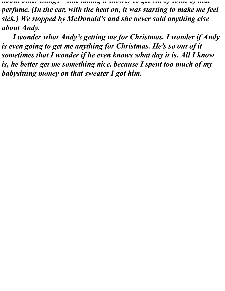*about other things—like taking a shower to get rid of some of that perfume. (In the car, with the heat on, it was starting to make me feel sick.) We stopped by McDonald's and she never said anything else about Andy.*

*I wonder what Andy's getting me for Christmas. I wonder if Andy is even going to get me anything for Christmas. He's so out of it sometimes that I wonder if he even knows what day it is. All I know is, he better get me something nice, because I spent too much of my babysitting money on that sweater I got him.*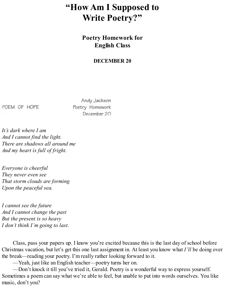# **"How Am I Supposed to Write Poetry?"**

## **Poetry Homework for English Class**

### **DECEMBER 20**

POEM OF HOPE

Andy Jackson Poetry Homework December 20

*It's dark where I am And I cannot find the light. There are shadows all around me And my heart is full of fright.*

*Everyone is cheerful They never even see That storm clouds are forming Upon the peaceful sea.*

*I cannot see the future And I cannot change the past But the present is so heavy I don't think I'm going to last.*

Class, pass your papers up. I know you're excited because this is the last day of school before Christmas vacation, but let's get this one last assignment in. At least you know what *I'll* be doing over the break—reading your poetry. I'm really rather looking forward to it.

—Yeah, just like an English teacher—poetry turns her on.

—Don't knock it till you've tried it, Gerald. Poetry is a wonderful way to express yourself. Sometimes a poem can say what we're able to feel, but unable to put into words ourselves. You like music, don't you?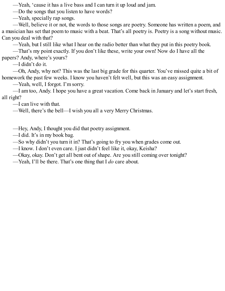—Yeah, 'cause it has a live bass and I can turn it up loud and jam.

—Do the songs that you listen to have words?

—Yeah, specially rap songs.

—Well, believe it or not, the words to those songs are poetry. Someone has written a poem, and a musician has set that poem to music with a beat. That's all poetry is. Poetry is a song without music. Can you deal with that?

—Yeah, but I still like what I hear on the radio better than what they put in this poetry book.

—That's my point exactly. If you don't like these, write your own! Now do I have all the papers? Andy, where's yours?

—I didn't do it.

—Oh, Andy, why not? This was the last big grade for this quarter. You've missed quite a bit of homework the past few weeks. I know you haven't felt well, but this was an easy assignment.

—Yeah, well, I forgot. I'm sorry.

—I am too, Andy. I hope you have a great vacation. Come back in January and let's start fresh, all right?

—I can live with that.

—Well, there's the bell—I wish you all a very Merry Christmas.

—Hey, Andy, I thought you did that poetry assignment.

—I did. It's in my book bag.

—So why didn't you turn it in? That's going to fry you when grades come out.

—I know. I don't even care. I just didn't feel like it, okay, Keisha?

—Okay, okay. Don't get all bent out of shape. Are you still coming over tonight?

—Yeah, I'll be there. That's one thing that I *do* care about.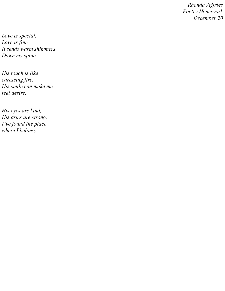*Rhonda Jeffries Poetry Homework D e c e m b e r 2 0*

*Love* is special, *Love is fine*, It sends warm shimmers *Down my* spine.

*His touch is like caressing fire. His smile can ma ke m e feel desire.* 

*His eyes are kind, His arms are strong, I ' ve***<sub>***found***</del>** *the***<sub>***place***</sub>**</sub> *where I* belong.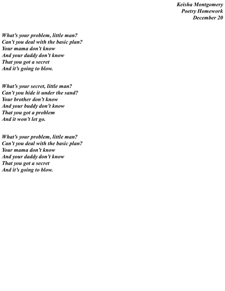*Keisha Montgomery Poetry Homework D e c e m b e r 2 0*

What's your problem, little man? Can't you deal with the basic plan? *Your* mama don't know *And your daddy don't know That* you got a secret *And it's going to blow.* 

*What's* your secret, little man? *Can't* you hide it under the sand? *Your* brother don't know *And your buddy don't know That you got a problem And it won't let go.* 

What's your problem, little man? Can't you deal with the basic plan? *Your* mama don't know *And your daddy don't know That* you got a secret *And it's going to blow.*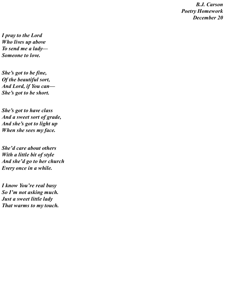*B. J. Ca rs o n Poetry Homework D e c e m b e r 2 0*

*I pray to the Lord Who* lives up above *To* send me a lady— *Someone to love.* 

*Sh e 's g o t t o b e fi n e, <i>Of the beautiful sort, And Lord, if You can*— *She's got to be short.* 

*She's got to have class And a sweet sort of grade, And she's got to light up When she sees my face*.

*She'd care about others With a little bit of style And she'd go to her church Every* once in a while.

*I* know You're real busy So I'm not asking much. *Just a sweet little lady Hat* warms to my touch.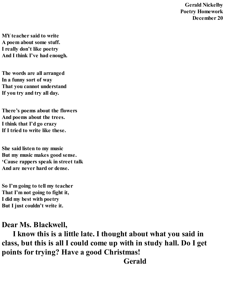**Gerald Nickelby Poetry Homework December 20**

**MYteacher said to write A poem about some stuff. I really don't like poetry And I think I've had enough.**

**The words are all arranged In a funny sort of way That you cannot understand If you try and try all day.**

**There's poems about the flowers And poems about the trees. I think that I'd go crazy If I tried to write like these.**

**She said listen to my music But my music makes good sense. 'Cause rappers speak in street talk And are never hard or dense.**

**So I'm going to tell my teacher That I'm not going to fight it, I did my best with poetry But I just couldn't write it.**

## **Dear Ms. Blackwell,**

**I know this is a little late. I thought about what you said in class, but this is all I could come up with in study hall. Do I get points for trying? Have a good Christmas!**

**Gerald**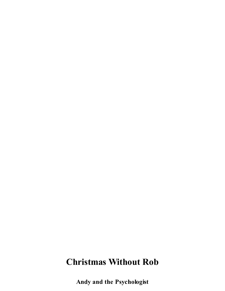# **Christmas Without Rob**

**Andy and the Psychologist**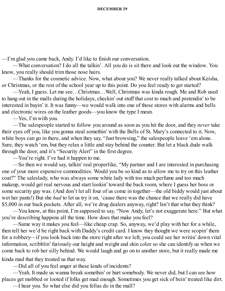#### **DECEMBER 29**

—I'm glad you came back, Andy. I'd like to finish our conversation.

—What conversation? I do all the talkin'. All you do is sit there and look out the window. You know, you really should trim those nose hairs.

—Thanks for the cosmetic advice. Now, what about you? We never really talked about Keisha, or Christmas, or the rest of the school year up to this point. Do you feel ready to get started?

—Yeah, I guess. Let me see…Christmas…Well, Christmas was kinda rough. Me and Rob used to hang out in the malls during the holidays, checkin' out stuff that cost to much and pretendin' to be interested in buyin' it. It was funny—we would walk into one of those stores with alarms and bells and electronic wires on the leather goods—you know the type I mean.

—Yes, I'm with you.

—The salespeople started to follow you around as soon as you hit the door, and they *never* take their eyes off you, like you gonna steal somethin' with the Bells of St. Mary's connected to it. Now, white boys can go in there, and when they say, "Just browsing," the salespeople leave 'em alone. Sure, they watch 'em, but they relax a little and stay behind the counter. But let a black dude walk through the door, and it's "Security Alert" in the first degree.

—You're right. I've had it happen to me.

—So then we would say, talkin' real properlike, "My partner and I are interested in purchasing one of your more expensive commodities. Would you be so kind as to allow me to try on this leather coat?" The saleslady, who was always some white lady with too much perfume and too much makeup, would get real nervous and start lookin' toward the back room, where I guess her boss or some security guy was. (And don't let all four of us come in together—the old biddy would just about wet her pants!) But she *had* to let us try it on, 'cause there was the chance that we really did have \$5,000 in our back pockets. After all, we're drug dealers anyway, right? Isn't that what they think?

—You know, at this point, I'm supposed to say, "Now Andy, let's not exaggerate here." But what you're describing happens all the time. How does that make you feel?

—Same way it makes you feel—like cheap crap. So, anyway, we'd play with her for a while, then tell her we'd be right back with Daddy's credit card. I know they thought we were scopin' them for a robbery—if you look back into the store right after we left, you could see her writin' down vital information, scribblin' furiously our height and weight and skin color so she can identify us when we come back to rob her silly behind. We would laugh and go on to another store, but it really made me kinda mad that they treated us that way.

—Did all of you feel anger at these kinds of incidents?

—Yeah. It made us wanna break somethin' or hurt somebody. We never did, but I can see how places get mobbed or looted if folks get mad enough. Sometimes you get sick of bein' treated like dirt.

—I hear you. So what else did you fellas do in the mall?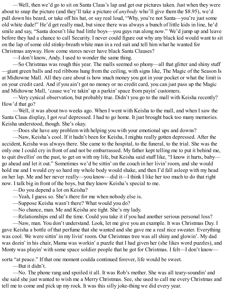—Well, then we'd go to sit on Santa Claus's lap and get our pictures taken. Just when they were about to snap the picture (and they'll take a picture of *anybody* who'll give them the \$8.95), we'd pull down his beard, or take off his hat, or say real loud, "Why, you're not Santa—you're just some old white dude!" He'd get really mad, but since there was always a bunch of little kids in line, he'd smile and say, "Santa doesn't like bad little boys—you guys run along now." We'd jump up and leave before they had a chance to call Security. I never could figure out why any black kid would want to sit on the lap of some old stinky-breath white man in a red suit and tell him what he wanted for Christmas anyway. How come stores never have black Santa Clauses?

—I don't know, Andy. I used to wonder the same thing.

—So Christmas was rough this year. The malls seemed so phony—all that glitter and shiny stuff —giant green balls and red ribbons hung from the ceiling, with signs like, The Magic of the Season Is at Midtowne Mall. All they care about is how much money you got in your pocket or what the limit is on your credit card. And if you ain't got no money or no credit card, you can just pass up the Magic and Midtowne Mall, 'cause we're takin' up a parkin'space from payin' customers.

—Very cynical observation, but probably true. Didn't you go to the mall with Keisha recently? How'd that go?

—Well, it was about two weeks ago. When I went with Keisha to the mall, and when I saw the Santa Claus display, I got *real* depressed. I had to go home. It just brought back too many memories. Keisha understood, though. She's okay.

—Does she have any problem with helping you with your emotional ups and downs?

—Naw, Keisha's cool. If it hadn't been for Keisha, I mighta really gotten depressed. After the accident, Keisha was always there. She came to the hospital, to the funeral, to the trial. She was the only one I could cry in front of and not be embarrassed. My father kept telling me to put it behind me, to quit dwellin' on the past, to get on with my life, but Keisha said stuff like, "I know it hurts, baby go ahead and let it out." Sometimes we'd be sittin' on the couch in her livin' room, and she would hold me and I would cry so hard my whole body would shake, and then I'd fall asleep with my head on her lap. Me and her never really—you know—did it—I think I like her too much to do that right now. I talk big in front of the boys, but they know Keisha's special to me.

—Do you depend a lot on Keisha?

—Yeah, I guess so. She's there for me when nobody else is.

—Suppose Keisha wasn't there? What would you do?

—No chance, man. Me and Keisha are tight. She's my lady.

—Relationships end all the time. Could you take it if you had another serious personal loss?

—Naw, man. You don't understand. Look, let me give you an example. It was Christmas Day. I gave Keisha a bottle of that perfume that she wanted and she gave me a real nice sweater. Everything was cool. We were sittin' in my livin' room. Our Christmas tree was all shiny and glowin'. My dad was dozin' in his chair, Mama was workin' a puzzle that I had given her (she likes word puzzles), and Monty was playin' with some space soldier people that he got for Christmas. I felt—I don't know—

sorta "at peace." If that one moment coulda continued forever, life would be sweet.

—But it didn't.

—No. The phone rang and spoiled it all. It was Rob's mother. She was all teary-soundin' and she said she just wanted to wish me a Merry Christmas. See, she used to call me every Christmas and tell me to come and pick up my rock. It was this silly joke-thing we did every year.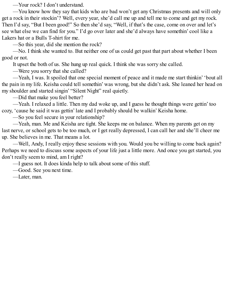—Your rock? I don't understand.

—You know how they say that kids who are bad won't get any Christmas presents and will only get a rock in their stockin'? Well, every year, she'd call me up and tell me to come and get my rock. Then I'd say, "But I been good!" So then she'd say, "Well, if that's the case, come on over and let's see what else we can find for you." I'd go over later and she'd always have somethin' cool like a Lakers hat or a Bulls T-shirt for me.

—So this year, did she mention the rock?

—No. I think she wanted to. But neither one of us could get past that part about whether I been good or not.

It upset the both of us. She hung up real quick. I think she was sorry she called.

—Were you sorry that she called?

—Yeah, I was. It spoiled that one special moment of peace and it made me start thinkin' 'bout all the pain in my life. Keisha could tell somethin' was wrong, but she didn't ask. She leaned her head on my shoulder and started singin' "Silent Night" real quietly.

—Did that make you feel better?

—Yeah. I relaxed a little. Then my dad woke up, and I guess he thought things were gettin' too cozy, 'cause he said it was gettin' late and I probably should be walkin' Keisha home.

—So you feel secure in your relationship?

—Yeah, man. Me and Keisha are tight. She keeps me on balance. When my parents get on my last nerve, or school gets to be too much, or I get really depressed, I can call her and she'll cheer me up. She believes in me. That means a lot.

—Well, Andy, I really enjoy these sessions with you. Would you be willing to come back again? Perhaps we need to discuss some aspects of your life just a little more. And once you get started, you don't really seem to mind, am I right?

—I guess not. It does kinda help to talk about some of this stuff.

—Good. See you next time.

—Later, man.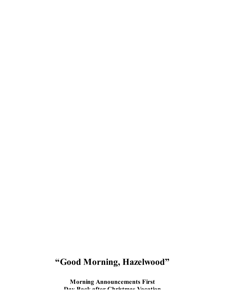# **"Good Morning, Hazelwood"**

**Morning Announcements First Day Back after Christmas Vacation**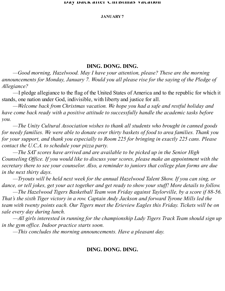#### **JANUARY 7**

### **DING. DONG. DING.**

*—Good morning, Hazelwood. May I have your attention, please? These are the morning announcements for Monday, January 7. Would you all please rise for the saying of the Pledge of Allegiance?*

—I pledge allegiance to the flag of the United States of America and to the republic for which it stands, one nation under God, indivisible, with liberty and justice for all.

*—Welcome back from Christmas vacation. We hope you had a safe and restful holiday and have come back ready with a positive attitude to successfully handle the academic tasks before you.*

*—The Unity Cultural Association wishes to thank all students who brought in canned goods for needy families. We were able to donate over thirty baskets of food to area families. Thank you for your support, and thank you especially to Room 225 for bringing in exactly 225 cans. Please contact the U.C.A. to schedule your pizza party.*

*—The SAT scores have arrived and are available to be picked up in the Senior High Counseling Of ice. If you would like to discuss your scores, please make an appointment with the secretary there to see your counselor. Also, a reminder to juniors that college plan forms are due in the next thirty days.*

*—Tryouts will be held next week for the annual Hazelwood Talent Show. If you can sing, or* dance, or tell jokes, get your act together and get ready to show your stuff! More details to follow.

*—The Hazelwood Tigers Basketball Team won Friday against Taylorville, by a score if 88-56. That's the sixth Tiger victory in a row. Captain Andy Jackson and forward Tyrone Mills led the team with twenty points each. Our Tigers meet the Erieview Eagles this Friday. Tickets will be on sale every day during lunch.*

*—All girls interested in running for the championship Lady Tigers Track Team should sign up in the gym of ice. Indoor practice starts soon.*

*—This concludes the morning announcements. Have a pleasant day.*

### **DING. DONG. DING.**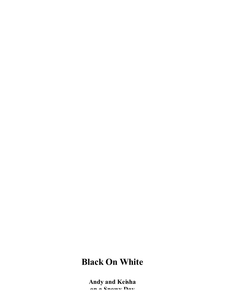# **Black On White**

### **Andy and Keisha on a Snowy Day**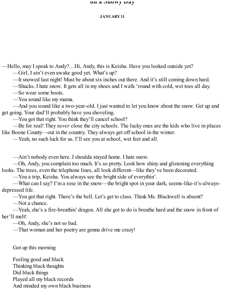#### **on a Snowy Day**

#### **JANUARY 11**

—Hello, may I speak to Andy?…Hi, Andy, this is Keisha. Have you looked outside yet? —Girl, I ain't even awake good yet. What's up?

—It snowed last night! Must be about six inches out there. And it's still coming down hard.

—Shucks. I hate snow. It gets all in my shoes and I walk 'round with cold, wet toes all day.

—So wear some boots.

—You sound like my mama.

—And you sound like a two-year-old. I just wanted to let you know about the snow. Get up and get going. Your dad'll probably have you shoveling.

—You got that right. You think they'll cancel school?

—Be for real! They *never* close the city schools. The lucky ones are the kids who live in places like Boone County—out in the country. They always get off school in the winter.

—Yeah, no such luck for us. I'll see you at school, wet feet and all.

—Ain't nobody even here. I shoulda stayed home. I hate snow.

—Oh, Andy, you complain too much. It's so pretty. Look how shiny and glistening everything looks. The trees, even the telephone lines, all look different—like they've been decorated.

—You a trip, Keisha. You always see the bright side of everythin'.

—What can I say? I'm a rose in the snow—the bright spot in your dark, seems-like-it's-alwaysdepressed life.

—You got that right. There's the bell. Let's get to class. Think Ms. Blackwell is absent?

—Not a chance.

—Yeah, she's a fire-breathin' dragon. All she got to do is breathe hard and the snow in front of her'll melt!

—Oh, Andy, she's not so bad.

—That woman and her poetry are gonna drive me crazy!

Got up this morning

Feeling good and black Thinking black thoughts Did black things Played all my black records And minded my own black business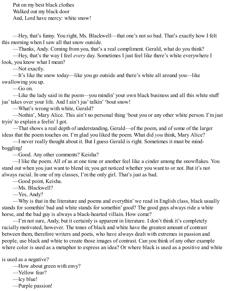Put on my best black clothes Walked out my black door And, Lord have mercy: white snow!

—Hey, that's funny. You right, Ms. Blackwell—that one's not so bad. That's exactly how I felt this morning when I saw all that snow outside.

—Thanks, Andy. Coming from you, that's a real compliment. Gerald, what do you think?

—Hey, that's the way I feel *every* day. Sometimes I just feel like there's white everywhere I look, you know what I mean?

—Not exactly.

—It's like the snow today—like you go outside and there's white all around you—like swallowing you up.

—Go on.

—Like the lady said in the poem—you mindin' your own black business and all this white stuff jus' takes over your life. And I ain't jus' talkin' 'bout snow!

—What's wrong with white, Gerald?

—Nothin', Mary Alice. This ain't no personal thing 'bout you or any other white person. I'm just tryin' to explain a feelin' I got.

—That shows a real depth of understanding, Gerald—of the poem, and of some of the larger ideas that the poem touches on. I'm glad you liked the poem. What did *you* think, Mary Alice?

—I never really thought about it. But I guess Gerald is right. Sometimes it must be mindboggling!

—Good. Any other comments? Keisha?

—I like the poem. All of us at one time or another feel like a cinder among the snowflakes. You stand out when you just want to blend in; you get noticed whether you want to or not. But it's not always racial. In one of my classes, I'm the only girl. That's just as bad.

—Good point, Keisha.

—Ms. Blackwell?

—Yes, Andy?

—Why is that in the literature and poems and everythin' we read in English class, black usually stands for somethin' bad and white stands for somethin' good? The good guys always ride a white horse, and the bad guy is always a black-hearted villain. How come?

—I'm not sure, Andy, but it certainly is apparent in literature. I don't think it's completely racially motivated, however. The tones of black and white have the greatest amount of contrast between them, therefore writers and poets, who have always dealt with extremes in passion and people, use black and white to create those images of contrast. Can you think of any other example where color is used as a metaphor to express an idea? Or where black is used as a positive and white

is used as a negative?

- —How about green with envy?
- —Yellow fear?
- —Icy blue!
- —Purple passion!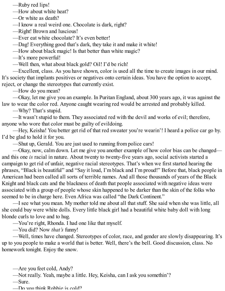—Ruby red lips!

—How about white heat?

—Or white as death?

—I know a real weird one. Chocolate is dark, right?

—Right! Brown and luscious!

—Ever eat white chocolate? It's even better!

—Dag! Everything good that's dark, they take it and make it white!

—How about black magic! Is that better than white magic?

—It's more powerful!

—Well then, what about black gold? Oil! I'd be rich!

—Excellent, class. As you have shown, color is used all the time to create images in our mind. It's society that implants positives or negatives onto certain ideas. You have the option to accept, reject, or change the stereotypes that currently exist.

—How do you mean?

—Okay, let me give you an example. In Puritan England, about 300 years ago, it was against the law to wear the color red. Anyone caught wearing red would be arrested and probably killed.

—Why? That's stupid.

—It wasn't stupid to them. They associated red with the devil and works of evil; therefore, anyone who wore that color must be guilty of evildoing.

—Hey, Keisha! You better get rid of that red sweater you're wearin'! I heard a police car go by. I'd be glad to hold it for you.

—Shut up, Gerald. You are just used to running from police cars!

—Okay, now, calm down. Let me give you another example of how color bias can be changed and this one *is* racial in nature. About twenty to twenty-five years ago, social activists started a campaign to get rid of unfair, negative racial stereotypes. That's when we first started hearing the phrases, "Black is beautiful" and "Say it loud, I'm black and I'm proud!" Before that, black people in American had been called all sorts of terrible names. And all those thousands of years of the Black Knight and black cats and the blackness of death that people associated with negative ideas were associated with a group of people whose skin happened to be darker than the skin of the folks who seemed to be in charge here. Even Africa was called "the Dark Continent."

—I see what you mean. My mother told me about all that stuff. She said when she was little, all she could buy were white dolls. Every little black girl had a beautiful white baby doll with long blonde curls to love and to hug.

—You're right, Rhonda. I had one like that myself.

—You did? Now *that's* funny!

—Well, times have changed. Stereotypes of color, race, and gender are slowly disappearing. It's up to you people to make a world that is better. Well, there's the bell. Good discussion, class. No homework tonight. Enjoy the snow.

—Are you feet cold, Andy?

—Not really. Yeah, maybe a little. Hey, Keisha, can I ask you somethin'?

—Sure.

—Do you think Robbie is cold?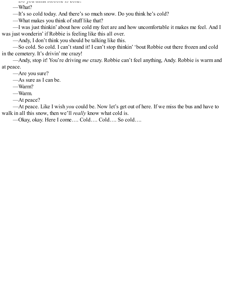Lo you unim robbit to volu.

—What?

—It's so cold today. And there's so much snow. Do you think he's cold?

—What makes you think of stuff like that?

—I was just thinkin' about how cold my feet are and how uncomfortable it makes me feel. And I was just wonderin' if Robbie is feeling like this all over.

—Andy, I don't think you should be talking like this.

—So cold. So cold. I can't stand it! I can't stop thinkin' 'bout Robbie out there frozen and cold in the cemetery. It's drivin' me crazy!

—Andy, stop it! You're driving *me* crazy. Robbie can't feel anything, Andy. Robbie is warm and at peace.

—Are you sure?

—As sure as I can be.

—Warm?

—Warm.

—At peace?

—At peace. Like I wish *you* could be. Now let's get out of here. If we miss the bus and have to walk in all this snow, then we'll *really* know what cold is.

—Okay, okay. Here I come…. Cold…. Cold…. So cold….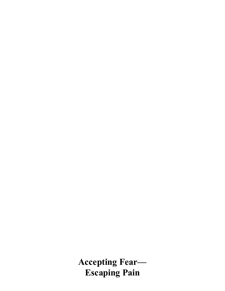**Accepting Fear— Escaping Pain**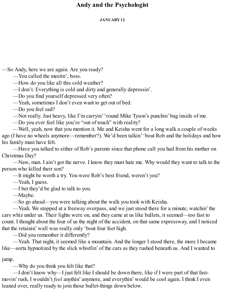## **Andy and the Psychologist**

### **JANUARY 12**

—So Andy, here we are again. Are you ready?

—You called the meetin', boss.

—How do you like all this cold weather?

—I don't. Everything is cold and dirty and generally depressin'.

—Do you find yourself depressed very often?

—Yeah, sometimes I don't even want to get out of bed.

—Do you feel sad?

—Not really. Just heavy, like I'm carryin' 'round Mike Tyson's punchin' bag inside of me.

—Do you ever feel like you're "out of touch" with reality?

—Well, yeah, now that you mention it. Me and Keisha went for a long walk a couple of weeks ago (I have no wheels anymore—remember?). We'd been talkin' 'bout Rob and the holidays and how his family must have felt.

—Have you talked to either of Rob's parents since that phone call you had from his mother on Christmas Day?

—Naw, man. I ain't got the nerve. I know they must hate me. Why would they want to talk to the person who killed their son?

—It might be worth a try. You were Rob's best friend, weren't you?

—Yeah, I guess.

—I bet they'd be glad to talk to you.

—Maybe.

—So go ahead—you were talking about the walk you took with Keisha.

—Yeah. We stopped at a freeway overpass, and we just stood there for a minute, watchin' the cars whiz under us. Their lights were on, and they came at us like bullets, it seemed—too fast to count. I thought about the four of us the night of the accident, on that same expressway, and I noticed that the retainin' wall was really only 'bout four feet high.

—Did you remember it differently?

—Yeah. That night, it seemed like a mountain. And the longer I stood there, the more I became like—sorta hypnotized by the slick whistlin' of the cars as they rushed beneath us. And I wanted to

### jump.

—Why do you think you felt like that?

—I don't know why—I just felt like I should be down there, like if I were part of that fastmovin' rush, I wouldn't *feel* anythin' anymore, and everythin' would be cool again. I think I even leaned over, really ready to join those bullet-things down below.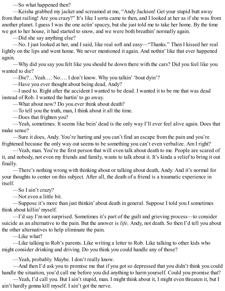—So what happened then?

—Keisha grabbed my jacket and screamed at me, "Andy Jackson! Get your stupid butt away from that railing! Are you crazy?" It's like I sorta came to then, and I looked at her as if she was from another planet. I guess I was the one actin'spacey, but she just told me to take her home. By the time we got to her house, it had started to snow, and we were both breathin' normally again.

—Did she say anything else?

—No. I just looked at her, and I said, like real soft and easy—"Thanks." Then I kissed her real lightly on the lips and went home. We never mentioned it again. And nothin' like that ever happened again.

—Why did you say you felt like you should be down there with the cars? Did you feel like you wanted to die?

—Die?…Yeah…. No…. I don't know. Why you talkin' 'bout dyin'?

—Have you ever thought about being dead, Andy?

—I used to. Right after the accident I wanted to be dead. I wanted it to be me that was dead instead of Rob. I wanted the hurtin' to go away.

—What about now? Do you ever think about death?

—To tell you the truth, man, I think about it all the time.

—Does that frighten you?

—Yeah, sometimes. It seems like bein' dead is the only way I'll ever feel alive again. Does that make sense?

—Sure it does, Andy. You're hurting and you can't find an escape from the pain and you're frightened because the only way out seems to be something you can't even verbalize. Am I right?

—Yeah, man. You're the first person that will even talk about death to me. People are scared of it, and nobody, not even my friends and family, wants to talk about it. It's kinda a relief to bring it out finally.

—There's nothing wrong with thinking about or talking about death, Andy. And it's normal for your thoughts to center on this subject. After all, the death of a friend is a traumatic experience in itself.

—So I ain't crazy?

—Not even a little bit.

—Suppose it's more than just thinkin' about death in general. Suppose I told you I sometimes think about killin' myself.

—I'd say I'm not surprised. Sometimes it's part of the guilt and grieving process—to consider suicide as an alternative to the pain. But the answer is *life,* Andy, not death. So then I'd tell you about the other alternatives to help eliminate the pain.

—Like what?

—Like talking to Rob's parents. Like writing a letter to Rob. Like talking to other kids who might consider drinking and driving. Do you think you could handle any of those?

—Yeah, probably. Maybe. I don't really know.

—And then I'd ask you to promise me that if you got so depressed that you didn't think you could handle the situation, you'd call me before you did anything to harm yourself. Could you promise that?

—Yeah, I'd call you. But I ain't stupid, man. I might think about it, I might even threaten it, but I ain't hardly gonna kill myself. I ain't got the nerve.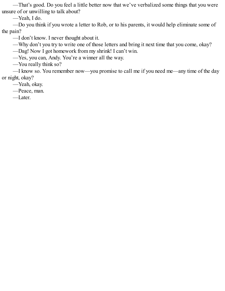—That's good. Do you feel a little better now that we've verbalized some things that you were unsure of or unwilling to talk about?

—Yeah, I do.

—Do you think if you wrote a letter to Rob, or to his parents, it would help eliminate some of the pain?

—I don't know. I never thought about it.

—Why don't you try to write one of those letters and bring it next time that you come, okay?

—Dag! Now I got homework from my shrink! I can't win.

—Yes, you can, Andy. You're a winner all the way.

—You really think so?

—I know so. You remember now—you promise to call me if you need me—any time of the day or night, okay?

- —Yeah, okay.
- —Peace, man.
- —Later.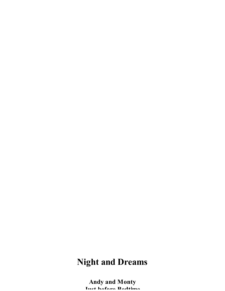# **Night and Dreams**

# **Andy and Monty**

**Just before Bedtime**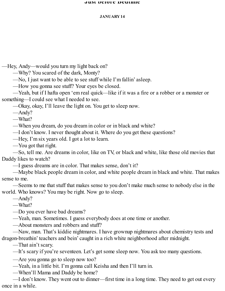#### **Just before Bedtime**

#### **JANUARY 14**

—Hey, Andy—would you turn my light back on?

—Why? You scared of the dark, Monty?

—No, I just want to be able to see stuff while I'm fallin' asleep.

—How you gonna see stuff? Your eyes be closed.

—Yeah, but if I hafta open 'em real quick—like if it was a fire or a robber or a monster or something—I could see what I needed to see.

—Okay, okay, I'll leave the light on. You get to sleep now.

—Andy?

—What?

—When you dream, do you dream in color or in black and white?

—I don't know. I never thought about it. Where do you get these questions?

—Hey, I'm six years old. I got a lot to learn.

—You got that right.

—So, tell me. Are dreams in color, like on TV, or black and white, like those old movies that Daddy likes to watch?

—I guess dreams are in color. That makes sense, don't it?

—Maybe black people dream in color, and white people dream in black and white. That makes sense to me.

—Seems to me that stuff that makes sense to you don't make much sense to nobody else in the world. Who knows? You may be right. Now go to sleep.

—Andy?

—What?

—Do you ever have bad dreams?

—Yeah, man. Sometimes. I guess everybody does at one time or another.

—About monsters and robbers and stuff?

—Naw, man. That's kiddie nightmares. I have grownup nightmares about chemistry tests and dragon-breathin' teachers and bein' caught in a rich white neighborhood after midnight.

—That ain't scary.

—It's scary if you're seventeen. Let's get some sleep now. You ask too many questions.

—Are you gonna go to sleep now too?

—Yeah, in a little bit. I'm gonna call Keisha and then I'll turn in.

—When'll Mama and Daddy be home?

—I don't know. They went out to dinner—first time in a long time. They need to get out every once in a while.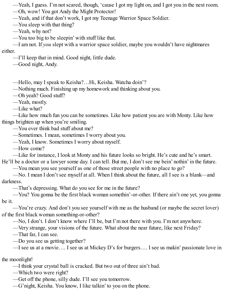—Yeah, I guess. I'm not scared, though, 'cause I got my light on, and I got you in the next room.

—Oh, wow! You got Andy the Might Protector!

—Yeah, and if that don't work, I got my Teenage Warrior Space Soldier.

—You sleep with that thing?

—Yeah, why not?

—You too big to be sleepin' with stuff like that.

—I am not. If *you* slept with a warrior space soldier, maybe you wouldn't have nightmares

## either.

—I'll keep that in mind. Good night, little dude.

—Good night, Andy.

—Hello, may I speak to Keisha?…Hi, Keisha. Watcha doin'?

—Nothing much. Finishing up my homework and thinking about you.

—Oh yeah? Good stuff?

—Yeah, mostly.

—Like what?

—Like how much fun you can be sometimes. Like how patient you are with Monty. Like how things brighten up when you're smiling.

—You ever think bad stuff about me?

—Sometimes. I mean, sometimes I worry about you.

—Yeah, I know. Sometimes I worry about myself.

—How come?

—Like for instance, I look at Monty and his future looks so bright. He's cute and he's smart. He'll be a doctor or a lawyer some day. I can tell. But me, I don't see me bein' nothin' in the future.

—You mean you see yourself as one of those street people with no place to go?

—No. I mean I don't see myself at all. When I think about the future, all I see is a blank—and darkness.

—That's depressing. What do you see for me in the future?

—You? You gonna be the first black woman somethin'-or-other. If there ain't one yet, you gonna be it.

—You're crazy. And don't you see yourself with me as the husband (or maybe the secret lover) of the first black woman something-or-other?

—No, I don't. I don't know where I'll be, but I'm not there with you. I'm not anywhere.

—Very strange, your visions of the future. What about the near future, like next Friday?

—That far, I can see.

—Do you see us getting together?

—I see us at a movie…. I see us at Mickey D's for burgers…. I see us makin' passionate love in

the moonlight!

—I think your crystal ball is cracked. But two out of three ain't bad.

—Which two were right?

—Get off the phone, silly dude. I'll see you tomorrow.

—G'night, Keisha. You know, I like talkin' to you on the phone.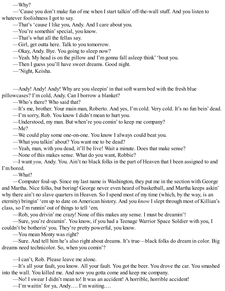—Why?

—'Cause you don't make fun of me when I start talkin' off-the-wall stuff. And you listen to whatever foolishness I got to say.

—That's 'cause I like you, Andy. And I care about you.

—You're somethin'special, you know.

—That's what all the fellas say.

—Girl, get outta here. Talk to you tomorrow.

—Okay, Andy. Bye. You going to sleep now?

—Yeah. My head is on the pillow and I'm gonna fall asleep think' 'bout you.

—Then I guess you'll have sweet dreams. Good night.

—'Night, Keisha.

—Andy! Andy! Andy! Why are you sleepin' in that soft warm bed with the fresh blue pillowcases? I'm cold, Andy. Can I borrow a blanket?

—Who's there? Who said that?

—It's me, brother. Your main man, Roberto. And yes, I'm cold. Very cold. It's no fun bein' dead.

—I'm sorry, Rob. You know I didn't mean to hurt you.

—Understood, my man. But when're you comin' to keep me company?

—Me?

—We could play some one-on-one. You know I always could beat you.

—What you talkin' about? You want me to be dead?

—Yeah, man, with you dead, it'll be live! Wait a minute. Does that make sense?

—None of this makes sense. What do you want, Robbie?

—I want *you,* Andy. You. Ain't no black folks in the part of Heaven that I been assigned to and I'm bored.

—What?

—Computer foul-up. Since my last name is Washington, they put me in the section with George and Martha. Nice folks, but boring! George never even heard of basketball, and Martha keeps askin' why there ain't no slave quarters in Heaven. So I spend most of my time (which, by the way, is an eternity) bringin' 'em up to date on American history. And you *know* I slept through most of Killian's class, so I'm runnin' out of things to tell 'em.

—Rob, you drivin' me crazy! None of this makes any sense. I must be dreamin'!

—Sure, you're dreamin'. You know, if you had a Teenage Warrior Space Soldier with you, I couldn't be botherin' you. They're pretty powerful, you know.

—You mean Monty was right?

—Sure. And tell him he's also right about dreams. It's true—black folks do dream in color. Big dreams need technicolor. So, when you comin'?

—I can't, Rob. Please leave me alone.

—It's all your fault, you know. All your fault. You got the beer. You drove the car. You smashed into the wall. You killed me. And now you gotta come and keep me company.

—No! I swear I didn't mean to! It was an accident! A horrible, horrible accident!

—I'm waitin' for ya, Andy…. I'm waiting….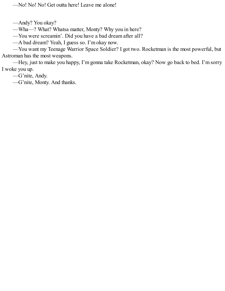—No! No! No! Get outta here! Leave me alone!

—Andy? You okay?

—Wha—? What? Whatsa matter, Monty? Why you in here?

—You were screamin'. Did you have a bad dream after all?

—A bad dream? Yeah, I guess so. I'm okay now.

—You want my Teenage Warrior Space Soldier? I got two. Rocketman is the most powerful, but Astroman has the most weapons.

—Hey, just to make you happy, I'm gonna take Rocketman, okay? Now go back to bed. I'm sorry I woke you up.

—G'nite, Andy.

—G'nite, Monty. And thanks.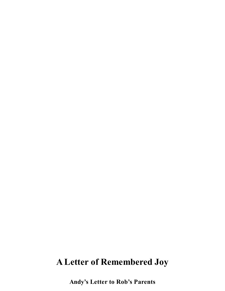# **A Letter of Remembered Joy**

**Andy's Letter to Rob's Parents**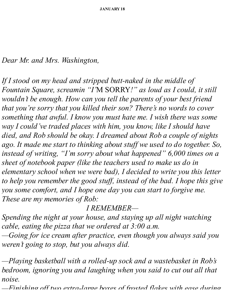## *Dear Mr. and Mrs. Washington,*

*If I stood on my head and stripped butt-naked in the middle of Fountain Square, screamin "I'*M SORRY*!" as loud as I could, it still wouldn 't be enough. How can you tell the parents of your best friend that you ' re sorry that you killed their son? There ' s no words to cover something that awful. I know you must hate me. I wish there was some way I could' ve traded places with him, you know, like I should have died, and Rob should be okay. I dreamed about Rob a couple of nights ago. It made me start to thinking about stuf we used to do together. So, instead of writing, "I' m sorry about what happened" 6,000 times on a sheet of notebook paper (like the teachers used to make us do in elementary school when we were bad), I decided to write you this letter to help you remember the good stuf , instead of the bad. I hope this give you some comfort, and I hope one day you can start to forgive me. These are my memories of Rob:*

## *I REMEMBER—*

*Spending the night at your house, and staying up all night watching cable, eating the pizza that we ordered at 3:00 a.m.*

*—Going for ice cream after practice, even though you always said you weren 't going to stop, but you always did.*

*—Playing basketball with a rolled-up sock and a wastebasket in Rob' s bedroom, ignoring you and laughing when you said to cut out all that noise.*

*—Finishing of two extra-large boxes of frosted flakes with ease during*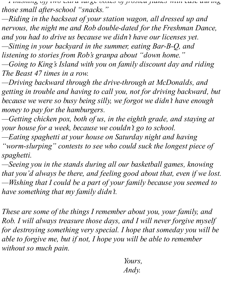*—Finishing of two extra-large boxes of frosted flakes with ease during those small after-school " snacks."*

*—Riding in the backseat of your station wagon, all dressed up and nervous, the night me and Rob double-dated for the Freshman Dance, and you had to drive us because we didn 't have our licenses yet. —Sitting in your backyard in the summer, eating Bar-B-Q, and listening to stories from Rob' s granpa about "down home."*

*—Going to King ' s Island with you on family discount day and riding The Beast 47 times in a row.*

*—Driving backward through the drive-through at McDonalds, and getting in trouble and having to call you, not for driving backward, but because we were so busy being silly, we forgot we didn 't have enough money to pay for the hamburgers.*

*—Getting chicken pox, both of us, in the eighth grade, and staying at your house for a week, because we couldn 't go to school.*

*—Eating spaghetti at your house on Saturday night and having " worm-slurping " contests to see who could suck the longest piece of spaghetti.*

*—Seeing you in the stands during all our basketball games, knowing that you 'd always be there, and feeling good about that, even if we lost. —Wishing that I could be a part of your family because you seemed to have something that my family didn 't.*

*These are some of the things I remember about you, your family, and Rob. I will always treasure those days, and I will never forgive myself for destroying something very special. I hope that someday you will be able to forgive me, but if not, I hope you will be able to remember without so much pain.*

> *Yours, Andy.*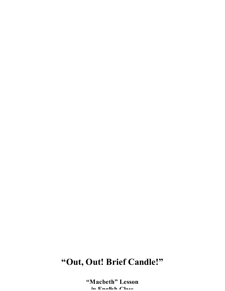# **"Out, Out! Brief Candle!"**

**"Macbeth" Lesson in English Class**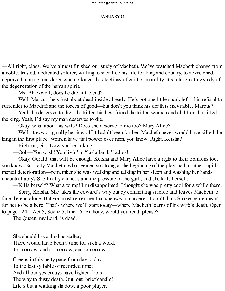#### **in English Class**

#### **JANUARY 21**

—All right, class. We've almost finished our study of Macbeth. We've watched Macbeth change from a noble, trusted, dedicated soldier, willing to sacrifice his life for king and country, to a wretched, depraved, corrupt murderer who no longer has feelings of guilt or morality. It's a fascinating study of the degeneration of the human spirit.

—Ms. Blackwell, does he die at the end?

—Well, Marcus, he's just about dead inside already. He's got one little spark left—his refusal to surrender to Macduff and the forces of good—but don't you think his death is inevitable, Marcus?

—Yeah, he deserves to die—he killed his best friend, he killed women and children, he killed the king. Yeah, I'd say my man deserves to die.

—Okay, what about his wife? Does she deserve to die too? Mary Alice?

—Well, it *was* originally her idea. If it hadn't been for her, Macbeth never would have killed the king in the first place. Women have that power over men, you know. Right, Keisha?

—Right on, girl. Now you're talking!

—Ooh—You wish! You livin' in "la-la land," ladies!

—Okay, Gerald, that will be enough. Keisha and Mary Alice have a right to their opinions too, you know. But Lady Macbeth, who seemed so strong at the beginning of the play, had a rather rapid mental deterioration—remember she was walking and talking in her sleep and washing her hands uncontrollably? She finally cannot stand the pressure of the guilt, and she kills herself.

—Kills herself? What a wimp! I'm disappointed. I thought she was pretty cool for a while there.

—Sorry, Keisha. She takes the coward's way out by committing suicide and leaves Macbeth to face the end alone. But you must remember that she *was* a murderer. I don't think Shakespeare meant for her to be a hero. That's where we'll start today—where Macbeth learns of his wife's death. Open to page 224—Act 5, Scene 5, line 16. Anthony, would you read, please?

The Queen, my Lord, is dead.

She should have died hereafter;

There would have been a time for such a word. To-morrow, and to-morrow, and tomorrow,

Creeps in this petty pace from day to day, To the last syllable of recorded time; And all our yesterdays have lighted fools The way to dusty death. Out, out, brief candle! Life's but a walking shadow, a poor player,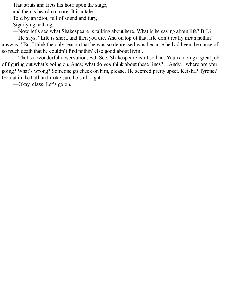That struts and frets his hour upon the stage, and then is heard no more. It is a tale Told by an idiot, full of sound and fury, Signifying nothing.

—Now let's see what Shakespeare is talking about here. What is he saying about life? B.J.?

—He says, "Life is short, and then you die. And on top of that, life don't really mean nothin' anyway." But I think the only reason that he was so depressed was because he had been the cause of so much death that he couldn't find nothin' else good about livin'.

—That's a wonderful observation, B.J. See, Shakespeare isn't so bad. You're doing a great job of figuring out what's going on. Andy, what do *you* think about these lines?…Andy…where are you going? What's wrong? Someone go check on him, please. He seemed pretty upset. Keisha? Tyrone? Go out in the hall and make sure he's all right.

—Okay, class. Let's go on.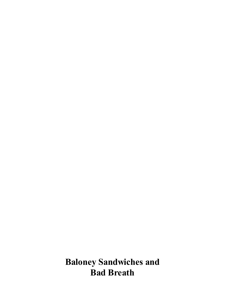**Baloney Sandwiches and Bad Breath**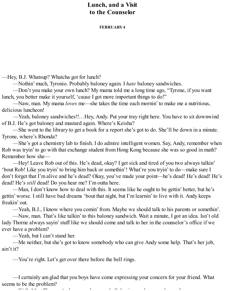### **Lunch, and a Visit to the Counselor**

**FEBRUARY 4**

—Hey, B.J. Whatsup? Whatcha got for lunch?

—Nothin' much, Tyronio. Probably baloney again. I *hate* baloney sandwiches.

—Don't you make your own lunch? My mama told me a long time ago, "Tyrone, if you want lunch, you better make it yourself, 'cause I got more important things to do!"

—Naw, man. My mama *loves* me—she takes the time each mornin' to make me a nutritious, delicious luncheon!

—Yeah, baloney sandwiches!!…Hey, Andy. Put your tray right here. You have to sit downwind of B.J. He's got baloney and mustard again. Where's Keisha?

—She went to the library to get a book for a report she's got to do. She'll be down in a minute. Tyrone, where's Rhonda?

—She's got a chemistry lab to finish. I do admire intelligent women. Say, Andy, remember when Rob was tryin' to go with that exchange student from Hong Kong because she was so good in math? Remember how she—

—Hey! Leave Rob out of this. He's dead, okay? I get sick and tired of you two always talkin' 'bout Rob! Like you tryin' to bring him back or somethin'! What're you tryin' to do—make sure I don't forget that I'm alive and he's dead? Okay, you've made your point—he's dead! He's dead! He's dead! He's *still* dead! Do you hear me? I'm outta here.

—Man, I don't know how to deal with this. It seems like he ought to be gettin' better, but he's gettin' worse. I still have bad dreams 'bout that night, but I'm learnin' to live with it. Andy keeps freakin' out.

—Yeah, B.J., I know where you comin' from. Maybe we should talk to his parents or somethin'.

—Naw, man. That's like talkin' to this baloney sandwich. Wait a minute, I got an idea. Isn't old lady Thorne always sayin'stuff like we should come and talk to her in the counselor's office if we ever have a problem?

—Yeah, but I can't stand her.

—Me neither, but she's got to know somebody who can give Andy some help. That's her job, ain't it?

—You're right. Let's get over there before the bell rings.

—I certainly am glad that you boys have come expressing your concern for your friend. What seems to be the problem?

 $\mathcal{M}$  and  $\mathcal{M}$  are seen seems depend and gets made at us for  $\mathcal{M}$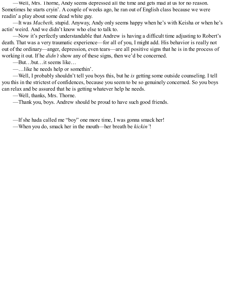—Well, Mrs. Thorne, Andy seems depressed all the time and gets mad at us for no reason. Sometimes he starts cryin'. A couple of weeks ago, he ran out of English class because we were readin' a play about some dead white guy.

—It was *Macbeth,* stupid. Anyway, Andy only seems happy when he's with Keisha or when he's actin' weird. And we didn't know who else to talk to.

—Now it's perfectly understandable that Andrew is having a difficult time adjusting to Robert's death. That was a very traumatic experience—for all of you, I might add. His behavior is really not out of the ordinary—anger, depression, even tears—are all positive signs that he is in the process of working it out. If he *didn't* show any of these signs, then we'd be concerned.

—But…but…it seems like…

—…like he needs help or somethin'.

—Well, I probably shouldn't tell you boys this, but he *is* getting some outside counseling. I tell you this in the strictest of confidences, because you seem to be so genuinely concerned. So you boys can relax and be assured that he is getting whatever help he needs.

—Well, thanks, Mrs. Thorne.

—Thank you, boys. Andrew should be proud to have such good friends.

—If she hada called me "boy" one more time, I was gonna smack her!

—When you do, smack her in the mouth—her breath be *kickin'*!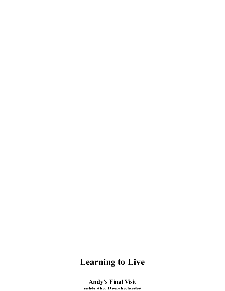# **Learning to Live**

**Andy's Final Visit with the Psychologist**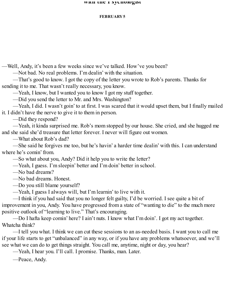#### **with the Psychologist**

#### **FEBRUARY 5**

—Well, Andy, it's been a few weeks since we've talked. How've you been?

—Not bad. No real problems. I'm dealin' with the situation.

—That's good to know. I got the copy of the letter you wrote to Rob's parents. Thanks for sending it to me. That wasn't really necessary, you know.

—Yeah, I know, but I wanted you to know I got my stuff together.

—Did you send the letter to Mr. and Mrs. Washington?

—Yeah, I did. I wasn't goin' to at first. I was scared that it would upset them, but I finally mailed it. I didn't have the nerve to give it to them in person.

—Did they respond?

—Yeah, it kinda surprised me. Rob's mom stopped by our house. She cried, and she hugged me and she said she'd treasure that letter forever. I never will figure out women.

—What about Rob's dad?

—She said he forgives me too, but he's havin' a harder time dealin' with this. I can understand where he's comin' from.

—So what about you, Andy? Did it help you to write the letter?

—Yeah, I guess. I'm sleepin' better and I'm doin' better in school.

—No bad dreams?

—No bad dreams. Honest.

—Do you still blame yourself?

—Yeah, I guess I always will, but I'm learnin' to live with it.

—I think if you had said that you no longer felt guilty, I'd be worried. I see quite a bit of improvement in you, Andy. You have progressed from a state of "wanting to die" to the much more positive outlook of "learning to live." That's encouraging.

—Do I hafta keep comin' here? I ain't nuts. I know what I'm doin'. I got my act together. Whatcha think?

—I tell you what. I think we can cut these sessions to an as-needed basis. I want you to call me if your life starts to get "unbalanced" in any way, or if you have any problems whatsoever, and we'll see what we can do to get things straight. You call me, anytime, night or day, you hear?

—Yeah, I hear you. I'll call. I promise. Thanks, man. Later.

—Peace, Andy.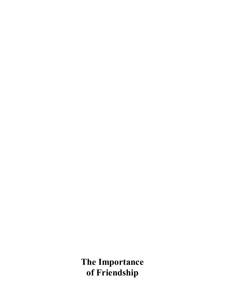**The Importance of Friendship**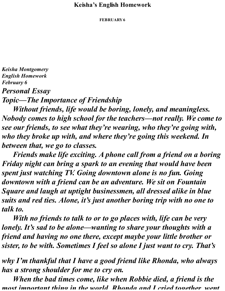### **Keisha's English Homework**

**FEBRUARY 6**

*Keisha Montgomery English Homework February 6 Personal Essay Topic—The Importance of Friendship Without friends, life would be boring, lonely, and meaningless. Nobody comes to high school for the teachers—not really. We come to see our friends, to see what they're wearing, who they're going with, who they broke up with, and where they're going this weekend. In between that, we go to classes.*

*Friends make life exciting. A phone call from a friend on a boring Friday night can bring a spark to an evening that would have been spent just watching TV. Going downtown alone is no fun. Going downtown with a friend can be an adventure. We sit on Fountain Square and laugh at uptight businessmen, all dressed alike in blue suits and red ties. Alone, it's just another boring trip with no one to talk to.*

*With no friends to talk to or to go places with, life can be very lonely. It's sad to be alone—wanting to share your thoughts with a friend and having no one there, except maybe your little brother or sister, to be with. Sometimes I feel so alone I just want to cry. That's*

*why I'm thankful that I have a good friend like Rhonda, who always has a strong shoulder for me to cry on.*

*When the bad times come, like when Robbie died, a friend is the most important thing in the world. Rhonda and I cried together, went*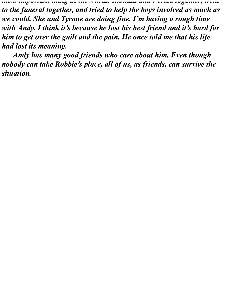*most important thing in the world. Rhonda and I cried together, went to the funeral together, and tried to help the boys involved as much as we could. She and Tyrone are doing fine. I'm having a rough time with Andy. I think it's because he lost his best friend and it's hard for him to get over the guilt and the pain. He once told me that his life had lost its meaning.*

*Andy has many good friends who care about him. Even though nobody can take Robbie's place, all of us, as friends, can survive the situation.*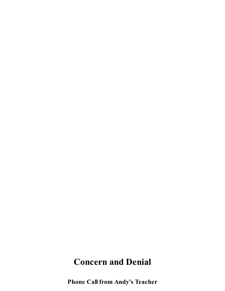# **Concern and Denial**

**Phone Call from Andy's Teacher**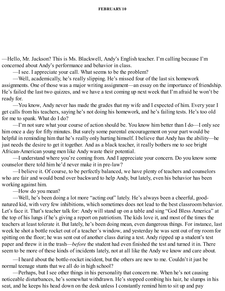#### **FEBRUARY 10**

—Hello, Mr. Jackson? This is Ms. Blackwell, Andy's English teacher. I'm calling because I'm concerned about Andy's performance and behavior in class.

—I see. I appreciate your call. What seems to be the problem?

—Well, academically, he's really slipping. He's missed four of the last six homework assignments. One of those was a major writing assignment—an essay on the importance of friendship. He's failed the last two quizzes, and we have a test coming up next week that I'm afraid he won't be ready for.

—You know, Andy never has made the grades that my wife and I expected of him. Every year I get calls from his teachers, saying he's not doing his homework, and he's failing tests. He's too old for me to spank. What do I do?

—I'm not sure what your course of action should be. You know him better than I do—I only see him once a day for fifty minutes. But surely some parental encouragement on your part would be helpful in reminding him that he's really only hurting himself. I believe that Andy has the ability—he just needs the desire to get it together. And as a black teacher, it really bothers me to see bright African-American young men like Andy waste their potential.

—I understand where you're coming from. And I appreciate your concern. Do you know some counselor there told him he'd never make it in pre-law?

—I believe it. Of course, to be perfectly balanced, we have plenty of teachers and counselors who are fair and would bend over backward to help Andy, but lately, even his behavior has been working against him.

—How do you mean?

—Well, he's been doing a lot more "acting out" lately. He's always been a cheerful, goodnatured kid, with very few inhibitions, which sometimes does not lead to the best classroom behavior. Let's face it. That's teacher talk for: Andy will stand up on a table and sing "God Bless America" at the top of his lungs if he's giving a report on patriotism. The kids love it, and most of the times the teachers at least tolerate it. But lately, he's been doing mean, even dangerous things. For instance, last week he shot a bottle rocket out of a teacher's window, and yesterday he was sent out of my room for spitting on the floor; he was sent out of another class during a test. Andy ripped up a student's test paper and threw it in the trash—*before* the student had even finished the test and turned it in. There seem to be more of these kinds of incidents lately, not at all like the Andy we know and care about.

—I heard about the bottle-rocket incident, but the others are new to me. Couldn't it just be normal teenage stunts that we all do in high school?

—Perhaps, but I see other things in his personality that concern me. When he's not causing noticeable disturbances, he's somewhat withdrawn. He's stopped combing his hair, he slumps in his seat, and he keeps his head down on the desk unless I constantly remind him to sit up and pay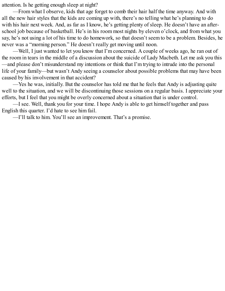attention. Is he getting enough sleep at night?

—From what I observe, kids that age forget to comb their hair half the time anyway. And with all the new hair styles that the kids are coming up with, there's no telling what he's planning to do with his hair next week. And, as far as I know, he's getting plenty of sleep. He doesn't have an afterschool job because of basketball. He's in his room most nights by eleven o'clock, and from what you say, he's not using a lot of his time to do homework, so that doesn't seem to be a problem. Besides, he never was a "morning person." He doesn't really get moving until noon.

—Well, I just wanted to let you know that I'm concerned. A couple of weeks ago, he ran out of the room in tears in the middle of a discussion about the suicide of Lady Macbeth. Let me ask you this —and please don't misunderstand my intentions or think that I'm trying to intrude into the personal life of your family—but wasn't Andy seeing a counselor about possible problems that may have been caused by his involvement in that accident?

—Yes he was, initially. But the counselor has told me that he feels that Andy is adjusting quite well to the situation, and we will be discontinuing those sessions on a regular basis. I appreciate your efforts, but I feel that you might be overly concerned about a situation that is under control.

—I see. Well, thank you for your time. I hope Andy is able to get himself together and pass English this quarter. I'd hate to see him fail.

—I'll talk to him. You'll see an improvement. That's a promise.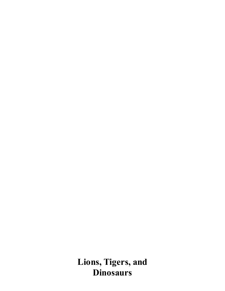**Lions, Tigers, and Dinosaurs**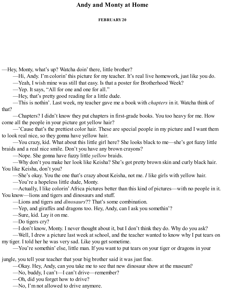### **Andy and Monty at Home**

#### **FEBRUARY 20**

—Hey, Monty, what's up? Watcha doin' there, little brother?

—Hi, Andy. I'm colorin' this picture for my teacher. It's real live homework, just like you do.

—Yeah, I wish mine was still that easy. Is that a poster for Brotherhood Week?

—Yep. It says, "All for one and one for all."

—Hey, that's pretty good reading for a little dude.

—This is nothin'. Last week, my teacher gave me a book with *chapters* in it. Watcha think of that?

—Chapters? I didn't know they put chapters in first-grade books. You too heavy for me. How come all the people in your picture got yellow hair?

—'Cause that's the prettiest color hair. These are special people in my picture and I want them to look real nice, so they gonna have yellow hair.

—You crazy, kid. What about this little girl here? She looks black to me—she's got fuzzy little braids and a real nice smile. Don't you have any brown crayons?

—Nope. She gonna have fuzzy little *yellow* braids.

—Why don't you make her look like Keisha? She's got pretty brown skin and curly black hair. You like Keisha, don't you?

—She's okay. You the one that's crazy about Keisha, not me. *I* like girls with yellow hair.

—You're a hopeless little dude, Monty.

—Actually, I like colorin' Africa pictures better than this kind of pictures—with no people in it. You know—lions and tigers and dinosaurs and stuff.

—Lions and tigers and *dinosaurs*?? That's some combination.

—Yep, and giraffes and dragons too. Hey, Andy, can I ask you somethin'?

—Sure, kid. Lay it on me.

—Do tigers cry?

—I don't know, Monty. I never thought about it, but I don't think they do. Why do you ask?

—Well, I drew a picture last week at school, and the teacher wanted to know why I put tears on my tiger. I told her he was very sad. Like you get sometime.

—You're somethin' else, little man. If you want to put tears on your tiger or dragons in your

jungle, you tell your teacher that your big brother said it was just fine.

—Okay. Hey, Andy, can you take me to see that new dinosaur show at the museum?

—No, buddy, I can't—I can't drive—remember?

—Oh, did you forget how to drive?

—No, I'm not allowed to drive anymore.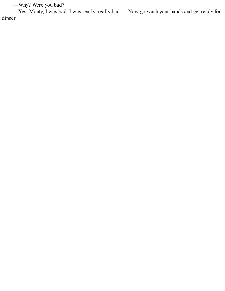—Why? Were you bad?

—Yes, Monty, I was bad. I was really, really bad…. Now go wash your hands and get ready for dinner.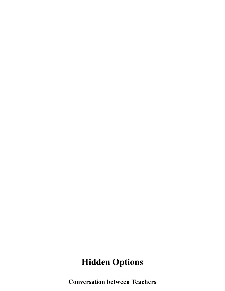# **Hidden Options**

**Conversation between Teachers**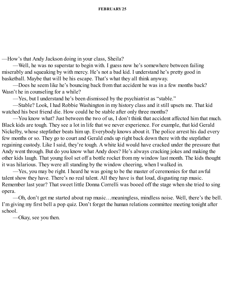—How's that Andy Jackson doing in your class, Sheila?

—Well, he was no superstar to begin with. I guess now he's somewhere between failing miserably and squeaking by with mercy. He's not a bad kid. I understand he's pretty good in basketball. Maybe that will be his escape. That's what they all think anyway.

—Does he seem like he's bouncing back from that accident he was in a few months back? Wasn't he in counseling for a while?

—Yes, but I understand he's been dismissed by the psychiatrist as "stable."

—Stable? Look, I had Robbie Washington in my history class and it still upsets me. That kid watched his best friend die. How could he be stable after only three months?

—You know what? Just between the two of us, I don't think that accident affected him that much. Black kids are tough. They see a lot in life that we never experience. For example, that kid Gerald Nickelby, whose stepfather beats him up. Everybody knows about it. The police arrest his dad every few months or so. They go to court and Gerald ends up right back down there with the stepfather regaining custody. Like I said, they're tough. A white kid would have cracked under the pressure that Andy went through. But do you know what Andy does? He's always cracking jokes and making the other kids laugh. That young fool set off a bottle rocket from my window last month. The kids thought it was hilarious. They were all standing by the window cheering, when I walked in.

—Yes, you may be right. I heard he was going to be the master of ceremonies for that awful talent show they have. There's no real talent. All they have is that loud, disgusting rap music. Remember last year? That sweet little Donna Correlli was booed off the stage when she tried to sing opera.

—Oh, don't get me started about rap music…meaningless, mindless noise. Well, there's the bell. I'm giving my first bell a pop quiz. Don't forget the human relations committee meeting tonight after school.

—Okay, see you then.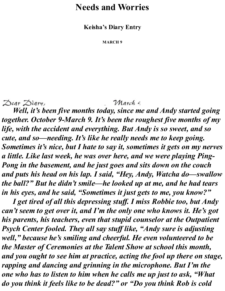## **Needs and Worries**

**Keisha's Diary Entry**

**MARCH 9**

 $\triangle$ ear  $\triangle$ iary,

March 4

*Well, it's been five months today, since me and Andy started going together. October 9-March 9. It's been the roughest five months of my life, with the accident and everything. But Andy is so sweet, and so cute, and so—needing. It's like he really needs me to keep going. Sometimes it's nice, but I hate to say it, sometimes it gets on my nerves a little. Like last week, he was over here, and we were playing Ping-Pong in the basement, and he just goes and sits down on the couch and puts his head on his lap. I said, "Hey, Andy, Watcha do—swallow the ball?" But he didn't smile—he looked up at me, and he had tears in his eyes, and he said, "Sometimes it just gets to me, you know?"*

*I get tired of all this depressing stuf . I miss Robbie too, but Andy can't seem to get over it, and I'm the only one who knows it. He's got his parents, his teachers, even that stupid counselor at the Outpatient Psych Center fooled. They all say stuf like, "Andy sure is adjusting well, " because he's smiling and cheerful. He even volunteered to be the Master of Ceremonies at the Talent Show at school this month, and you ought to see him at practice, acting the fool up there on stage, rapping and dancing and grinning in the microphone. But I'm the one who has to listen to him when he calls me up just to ask, "What do you think it feels like to be dead?" or "Do you think Rob is cold*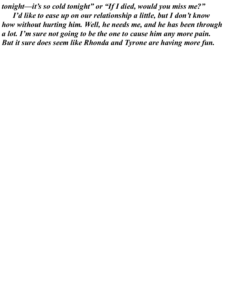*tonight—it's so cold tonight" or "If I died, would you miss me?" I'd like to ease up on our relationship a little, but I don't know how without hurting him. Well, he needs me, and he has been through a lot. I'm sure not going to be the one to cause him any more pain. But it sure does seem like Rhonda and Tyrone are having more fun.*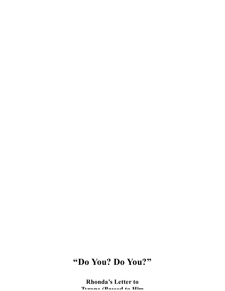## **"Do You? Do You?"**

### **Rhonda's Letter to**

**Tyrone (Passed to Him**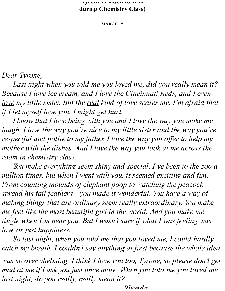### **Tyrone (Passed to Him during Chemistry Class)**

**MARCH 15**

## *Dear Tyrone,*

*Last night when you told me you loved me, did you really mean it? Because I love ice cream, and I love the Cincinnati Reds, and I even love my little sister. But the real kind of love scares me. I' m afraid that if I let myself love you, I might get hurt.*

*I know that I love being with you and I love the way you make me laugh. I love the way you ' re nice to my little sister and the way you ' re respectful and polite to my father. I love the way you of er to help my mother with the dishes. And I love the way you look at me across the room in chemistry class.*

*You make everything seem shiny and special. I' ve been to the zoo a million times, but when I went with you, it seemed exciting and fun. From counting mounds of elephant poop to watching the peacock spread his tail feathers—you made it wonderful. You have a way of making things that are ordinary seem really extraordinary. You make me feel like the most beautiful girl in the world. And you make me tingle when I' m near you. But I wasn 't sure if what I was feeling was love or just happiness.*

*So last night, when you told me that you loved me, I could hardly catch my breath. I couldn 't say anything at first because the whole idea*

*was so overwhelming. I think I love you too, Tyrone, so please don 't get mad at me if I ask you just once more. When you told me you loved me last night, do you really, really mean it?*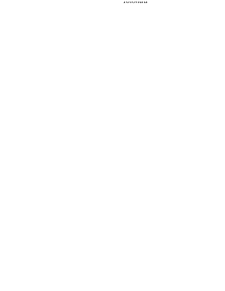#### uvinuu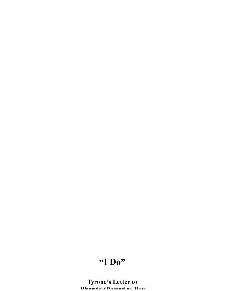## **"I Do"**

**Tyrone's Letter to Rhonda (Passed to Her**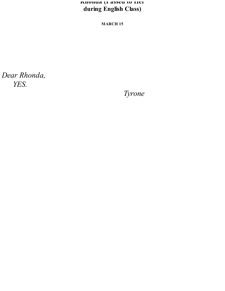### **Rhonda (Passed to Her during English Class)**

**MARCH 15**

*Dear Rhonda, YES.*

*Tyrone*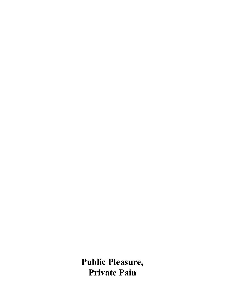**Public Pleasure, Private Pain**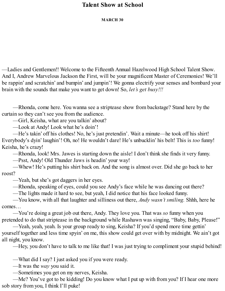### **Talent Show at School**

### **MARCH 30**

—Ladies and Gentlemen!! Welcome to the Fifteenth Annual Hazelwood High School Talent Show. And I, Andrew Marvelous Jackson the First, will be your magnificent Master of Ceremonies! We'll be rappin' and scratchin' and bumpin' and jumpin'! We gonna electrify your senses and bombard your brain with the sounds that make you want to get down! So, *let's get busy!!!*

—Rhonda, come here. You wanna see a striptease show from backstage? Stand here by the curtain so they can't see you from the audience.

—Girl, Keisha, what are you talkin' about?

—Look at Andy! Look what he's doin'!

—He's takin' off his clothes! No, he's just pretendin'. Wait a minute—he took off his shirt! Everybody's dyin' laughin'! Oh, no! He wouldn't dare! He's unbucklin' his belt! This is *too* funny! Keisha, he's crazy!

—Rhonda, look! Mrs. Jawes is starting down the aisle! I don't think she finds it very funny.

—Psst, Andy! Old Thunder Jaws is headin' your way!

—Whew! He's putting his shirt back on. And the song is almost over. Did she go back to her roost?

—Yeah, but she's got daggers in her eyes.

—Rhonda, speaking of eyes, could you see Andy's face while he was dancing out there?

—The lights made it hard to see, but yeah, I did notice that his face looked funny.

—You know, with all that laughter and silliness out there, *Andy wasn't smiling.* Shhh, here he comes…

—You're doing a great job out there, Andy. They love you. That was *so* funny when you pretended to do that striptease in the background while Rashawn was singing, "Baby, Baby, Please!"

—Yeah, yeah, yeah. Is your group ready to sing, Keisha? If you'd spend more time gettin' yourself together and less time spyin' on me, this show could get over with by midnight. We ain't got all night, you know.

—Hey, you don't have to talk to me like that! I was just trying to compliment your stupid behind!

—What did I say? I just asked you if you were ready.

—It was the *way* you said it.

—Sometimes you get on my nerves, Keisha.

—Me? You've got to be kidding! Do you know what I put up with from you? If I hear one more sob story from you, I think I'll puke!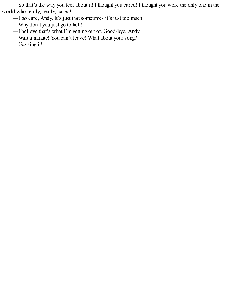—So that's the way you feel about it! I thought you cared! I thought you were the only one in the world who really, really, cared!

- —I *do* care, Andy. It's just that sometimes it's just too much!
- —Why don't you just go to hell!
- —I believe that's what I'm getting out of. Good-bye, Andy.
- —Wait a minute! You can't leave! What about your song?
- —*You* sing it!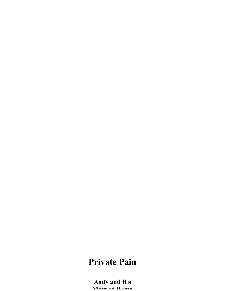## **Private Pain**

**Andy and His Mom at Home**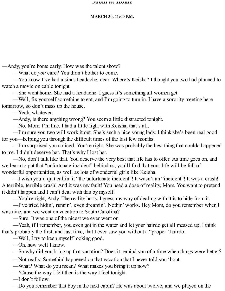#### **Mom at Home**

#### **MARCH 30, 11:00 P.M.**

—Andy, you're home early. How was the talent show?

—What do *you* care? You didn't bother to come.

—You know I've had a sinus headache, dear. Where's Keisha? I thought you two had planned to watch a movie on cable tonight.

—She went home. She had a headache. I guess it's something all women get.

—Well, fix yourself something to eat, and I'm going to turn in. I have a sorority meeting here tomorrow, so don't muss up the house.

—Yeah, whatever.

—Andy, is there anything wrong? You seem a little distracted tonight.

—No, Mom. I'm fine. I had a little fight with Keisha, that's all.

—I'm sure you two will work it out. She's such a nice young lady. I think she's been real good for you—helping you through the difficult times of the last few months.

—I'm surprised you noticed. You're right. She was probably the best thing that coulda happened to me. I didn't deserve her. That's why I lost her.

—No, don't talk like that. You deserve the very best that life has to offer. As time goes on, and we learn to put that "unfortunate incident" behind us, you'll find that your life will be full of wonderful opportunities, as well as lots of wonderful girls like Keisha.

—I wish you'd quit callin' it "the unfortunate incident"! It wasn't an "incident"! It was a crash! A terrible, terrible crash! And it was my fault! You need a dose of reality, Mom. You want to pretend it didn't happen and I can't deal with this by myself.

—You're right, Andy. The reality hurts. I guess my way of dealing with it is to hide from it.

—I've tried hidin', runnin', even dreamin'. Nothin' works. Hey Mom, do you remember when I was nine, and we went on vacation to South Carolina?

—Sure. It was one of the nicest we ever went on.

—Yeah, if I remember, you even got in the water and let your hairdo get all messed up. I think that's probably the first, and last time, that I ever saw you without a "proper" hairdo.

—Well, I try to keep myself looking good.

—Oh, how well I know.

—So why did you bring up that vacation? Does it remind you of a time when things were better?

—Not really. Somethin' happened on that vacation that I never told you 'bout.

—What? What do you mean? What makes you bring it up now?

—'Cause the way I felt then is the way I feel tonight.

—I don't follow.

—Do you remember that boy in the next cabin? He was about twelve, and we played on the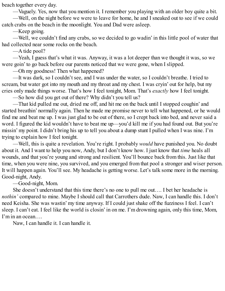beach together every day.

—Vaguely. Yes, now that you mention it. I remember you playing with an older boy quite a bit.

—Well, on the night before we were to leave for home, he and I sneaked out to see if we could catch crabs on the beach in the moonlight. You and Dad were asleep.

—Keep going.

—Well, we couldn't find any crabs, so we decided to go wadin' in this little pool of water that had collected near some rocks on the beach.

—A tide pool?

—Yeah, I guess that's what it was. Anyway, it was a lot deeper than we thought it was, so we were goin' to go back before our parents noticed that we were gone, when I slipped.

—Oh my goodness! Then what happened?

—It was dark, so I couldn't see, and I was under the water, so I couldn't breathe. I tried to scream, but water got into my mouth and my throat and my chest. I was cryin' out for help, but my cries only made things worse. That's how I feel tonight, Mom. That's *exactly* how I feel tonight.

—So how did you get out of there? Why didn't you tell us?

—That kid pulled me out, dried me off, and hit me on the back until I stopped coughin' and started breathin' normally again. Then he made me promise never to tell what happened, or he would find me and beat me up. I was just glad to be out of there, so I crept back into bed, and never said a word. I figured the kid wouldn't have to beat me up—you'd kill me if you had found out. But you're missin' my point. I didn't bring his up to tell you about a dump stunt I pulled when I was nine. I'm trying to explain how I feel tonight.

—Well, this is quite a revelation. You're right. I probably *would* have punished you. No doubt about it. And I want to help you now, Andy, but I don't know how. I just know that *time* heals all wounds, and that you're young and strong and resilient. You'll bounce back from this. Just like that time, when you were nine, you survived, and you emerged from that pool a stronger and wiser person. It will happen again. You'll see. My headache is getting worse. Let's talk some more in the morning. Good-night, Andy.

—Good-night, Mom.

She doesn't understand that this time there's no one to pull me out…. I bet her headache is *nothin'* compared to mine. Maybe I should call that Carrothers dude. Naw, I can handle this. I don't need Keisha. She was wastin' my time anyway. If I could just shake off the fuzziness I feel. I can't sleep. I can't eat. I feel like the world is closin' in on me. I'm drowning again, only this time, Mom, I'm in an ocean...

Naw, I can handle it. I can handle it.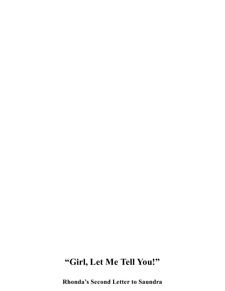# **"Girl, Let Me Tell You!"**

**Rhonda's Second Letter to Saundra**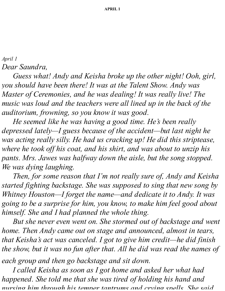## *April 1 Dear Saundra,*

*Guess what! Andy and Keisha broke up the other night! Ooh, girl, you should have been there! It was at the Talent Show. Andy was Master of Ceremonies, and he was dealing! It was really live! The music was loud and the teachers were all lined up in the back of the auditorium, frowning, so you know it was good.*

*He seemed like he was having a good time. He ' s been really depressed lately—I guess because of the accident—but last night he was acting really silly. He had us cracking up! He did this striptease, where he took of his coat, and his shirt, and was about to unzip his pants. Mrs. Jawes was halfway down the aisle, but the song stopped. We was dying laughing.*

*Then, for some reason that I' m not really sure of, Andy and Keisha started fighting backstage. She was supposed to sing that new song by Whitney Houston—I forget the name—and dedicate it to Andy. It was going to be a surprise for him, you know, to make him feel good about himself. She and I had planned the whole thing.*

*But she never even went on. She stormed out of backstage and went home. Then Andy came out on stage and announced, almost in tears, that Keisha ' s act was canceled. I got to give him credit—he did finish the show, but it was no fun after that. All he did was read the names of*

*each group and then go backstage and sit down.*

*I called Keisha as soon as I got home and asked her what had happened. She told me that she was tired of holding his hand and nursing him through his temper tantrums and crying spells. She said*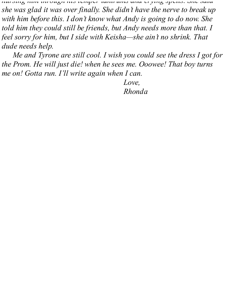*nursing him through his temper tantrums and crying spells. She said she was glad it was over finally. She didn 't have the nerve to break up with him before this. I don 't know what Andy is going to do now. She told him they could still be friends, but Andy needs more than that. I feel sorry for him, but I side with Keisha—she ain 't no shrink. That dude needs help.*

*Me and Tyrone are still cool. I wish you could see the dress I got for the Prom. He will just die! when he sees me. Ooowee! That boy turns me on! Gotta run. I'll write again when I can.*

> *Love, Rhonda*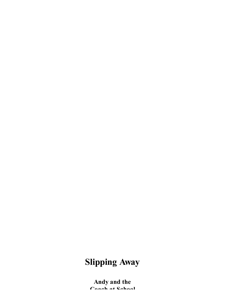# **Slipping Away**

**Andy and the Coach at School**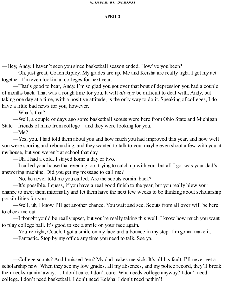#### **APRIL 2**

—Hey, Andy. I haven't seen you since basketball season ended. How've you been?

—Oh, just great, Coach Ripley. My grades are up. Me and Keisha are really tight. I got my act together; I'm even lookin' at colleges for next year.

—That's good to hear, Andy. I'm so glad you got over that bout of depression you had a couple of months back. That was a rough time for you. It will *always* be difficult to deal with, Andy, but taking one day at a time, with a positive attitude, is the only way to do it. Speaking of colleges, I do have a little bad news for you, however.

—What's that?

—Well, a couple of days ago some basketball scouts were here from Ohio State and Michigan State—friends of mine from college—and they were looking for you.

—Me?

—Yes, you. I had told them about you and how much you had improved this year, and how well you were scoring and rebounding, and they wanted to talk to you, maybe even shoot a few with you at my house, but you weren't at school that day.

—Uh, I had a cold. I stayed home a day or two.

—I called your house that evening too, trying to catch up with you, but all I got was your dad's answering machine. Did you get my message to call me?

—No, he never told me you called. Are the scouts comin' back?

—It's possible, I guess, if you have a real good finish to the year, but you really blew your chance to meet them informally and let them have the next few weeks to be thinking about scholarship possibilities for you.

—Well, uh, I know I'll get another chance. You wait and see. Scouts from all over will be here to check me out.

—I thought you'd be really upset, but you're really taking this well. I know how much you want to play college ball. It's good to see a smile on your face again.

—You're right, Coach. I got a smile on my face and a bounce in my step. I'm gonna make it.

—Fantastic. Stop by my office any time you need to talk. See ya.

—College scouts? And I missed 'em? My dad makes me sick. It's all his fault. I'll never get a scholarship now. When they see my low grades, all my absences, and my police record, they'll break their necks runnin' away…. I don't care. I don't care. Who needs college anyway? I don't need college. I don't need basketball. I don't need Keisha. I don't need nothin'!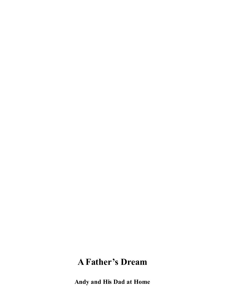# **A Father's Dream**

**Andy and His Dad at Home**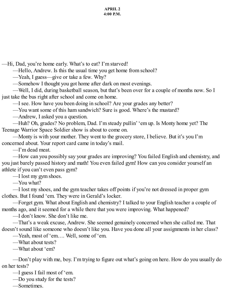**APRIL 2 4:00 P.M.**

—Hi, Dad, you're home early. What's to eat? I'm starved!

—Hello, Andrew. Is this the usual time you get home from school?

—Yeah, I guess—give or take a few. Why?

—Somehow I thought you got home after dark on most evenings.

—Well, I did, during basketball season, but that's been over for a couple of months now. So I just take the bus right after school and come on home.

—I see. How have you been doing in school? Are your grades any better?

—You want some of this ham sandwich? Sure is good. Where's the mustard?

—Andrew, I asked you a question.

—Huh? Oh, grades? No problem, Dad. I'm steady pullin' 'em up. Is Monty home yet? The Teenage Warrior Space Soldier show is about to come on.

—Monty is with your mother. They went to the grocery store, I believe. But it's you I'm concerned about. Your report card came in today's mail.

—I'm dead meat.

—How can you possibly say your grades are improving? You failed English and chemistry, and you just barely passed history and math! You even failed gym! How can you consider yourself an athlete if you can't even pass gym?

—I lost my gym shoes.

—You what?

—I lost my shoes, and the gym teacher takes off points if you're not dressed in proper gym clothes. But I found 'em. They were in Gerald's locker.

—Forget gym. What about English and chemistry? I talked to your English teacher a couple of months ago, and it seemed for a while there that you were improving. What happened?

—I don't know. She don't like me.

—That's a weak excuse, Andrew. She seemed genuinely concerned when she called me. That doesn't sound like someone who doesn't like you. Have you done all your assignments in her class?

—Yeah, most of 'em…. Well, some of 'em.

—What about tests?

—What about 'em?

—Don't play with me, boy. I'm trying to figure out what's going on here. How do you usually do on her tests?

—I guess I fail most of 'em.

—Do you study for the tests?

—Sometimes.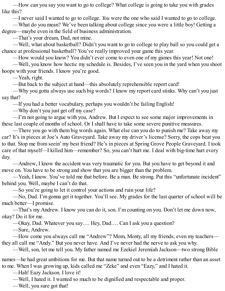—How can you say you want to go to college? What college is going to take you with grades like this?

—I never said I wanted to go to college. *You* were the one who said I wanted to go to college.

—What do you mean? We've been talking about college since you were a little boy! Getting a degree—maybe even in the field of business administration.

—That's your dream, Dad, not mine.

—Well, what about basketball? Didn't you want to go to college to play ball so you could get a chance at professional basketball? You've really improved your game this year.

—How would you know? You didn't ever come to even one of my games this year! Not one!

—Well, you know how hectic my schedule is. Besides, I've seen you in the yard when you shoot hoops with your friends. I know you're good.

—Yeah, right.

—But back to the subject at hand—this absolutely reprehensible report card!

—Why you gotta always use such big words? I know my report card stinks. Why can't you just say that?

—If you had a better vocabulary, perhaps you wouldn't be failing English!

—Why don't you just get off my case?

—I'm not going to argue with you, Andrew. But I expect to see some major improvements in these last couple of months of school. Or I shall have to take some severe punitive measures.

—There you go with them big words again. What else can you do to punish me? Take away my car? It's in pieces at Joe's Auto Graveyard. Take away my driver's license? Sorry, the cops beat you to that. Stop me from seein' my best friend? He's in pieces at Spring Grove People Graveyard. I took care of that myself—I killed him—remember? So, you can't hurt me. I deal with big-time hurt every day.

—Andrew, I know the accident was very traumatic for you. But you have to get beyond it and move on. You have to be strong and show that you are bigger than the problem.

—Yeah, I know. You've told me that before. Be a man. Be strong. Put this "unfortunate incident" behind you. Well, maybe I can't do that.

—So you're going to let it control your actions and ruin your life?

—No, Dad. I'm gonna get it together. You'll see. My grades for the last quarter of school will be much better—I promise.

—That's my Andrew. I know you can do it, son. I'm counting on you. Don't let me down now, okay? Do it for me.

—Okay, Dad. Whatever you say…. Hey, Dad…. Can I ask you a question?

—Sure, Andrew.

—How come you always call me "Andrew"? Mom, Monty, all my friends, even my teachers they all call me "Andy." But you never have. And I've never had the nerve to ask you why.

—Well, son, let me tell you. My father named me Ezekiel Jeremiah Jackson—two strong Bible

names—he had great ambitions for me. But that name turned out to be a detriment rather than an asset to me. When I was growing up, kids called me "Zeke" and even "Eazy," and I hated it.

—Hah! Eazy Jackson. I love it!

—Well, I hated it. I wanted so much to be dignified and respectable and proper.

—Well, you sure got that!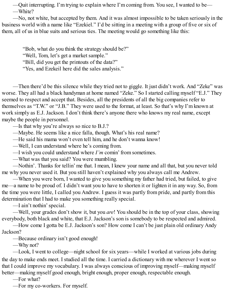—Quit interrupting. I'm trying to explain where I'm coming from. You see, I wanted to be— —White?

—No, not white, but accepted by them. And it was almost impossible to be taken seriously in the business world with a name like "Ezekiel." I'd be sitting in a meeting with a group of five or six of them, all of us in blue suits and serious ties. The meeting would go something like this:

"Bob, what do you think the strategy should be?"

"Well, Tom, let's get a market sample."

"Bill, did you get the printouts of the data?"

"Yes, and Ezekeil here did the sales analysis."

—Then there'd be this silence while they tried not to giggle. It just didn't work. And "Zeke" was worse. They all had a black handyman at home named "Zeke." So I started calling myself "E.J." They seemed to respect and accept that. Besides, all the presidents of all the big companies refer to themselves as "T.W." or "J.B." They were used to the format, at least. So that's why I'm known at work simply as E.J. Jackson. I don't think there's anyone there who knows my real name, except maybe the people in personnel.

—Is that why you're always so nice to B.J.?

—Maybe. He seems like a nice falla, though. What's his real name?

—He said his mama won't even tell him, and he don't wanna know!

—Well, I can understand where he's coming from.

—I wish you could understand where *I'm* comin' from sometimes.

—What was that you said? You were mumbling.

—Nothin'. Thanks for tellin' me that. I mean, I knew your name and all that, but you never told me why you never used it. But you still haven't explained why you always call me Andrew.

—When you were born, I wanted to give you something my father had tried, but failed, to give me—a name to be proud of. I didn't want you to have to shorten it or lighten it in any way. So, from the time you were little, I called you Andrew. I guess it was partly from pride, and partly from this determination that I had to make you something really special.

—I ain't nothin'special.

—Well, your grades don't show it, but you *are*! You should be in the top of your class, showing everybody, both black and white, that E.J. Jackson's son is somebody to be respected and admired.

—How come I gotta be E.J. Jackson's son? How come I can't be just plain old ordinary Andy Jackson?

—Because ordinary isn't good enough!

—Why not?

—Look, I went to college—night school for six years—while I worked at various jobs during the day to make ends meet. I studied all the time. I carried a dictionary with me wherever I went so that I could improve my vocabulary. I was always conscious of improving myself—making myself better—making myself good enough, bright enough, proper enough, respectable enough.

—For what?

—For my co-workers. For myself.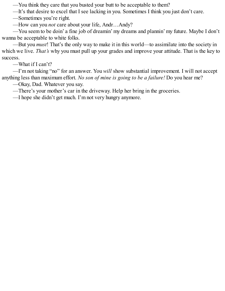—You think they care that you busted your butt to be acceptable to them?

—It's that desire to excel that I see lacking in you. Sometimes I think you just don't care.

—Sometimes you're right.

—How can you *not* care about your life, Andr…Andy?

—You seem to be doin' a fine job of dreamin' my dreams and plannin' my future. Maybe I don't wanna be acceptable to white folks.

—But you *must*! That's the only way to make it in this world—to assimilate into the society in which we live. *That's* why you must pull up your grades and improve your attitude. That is the key to success.

—What if I can't?

—I'm not taking "no" for an answer. You *will* show substantial improvement. I will not accept anything less than maximum effort. *No son of mine is going to be a failure!* Do you hear me?

—Okay, Dad. Whatever you say.

—There's your mother's car in the driveway. Help her bring in the groceries.

—I hope she didn't get much. I'm not very hungry anymore.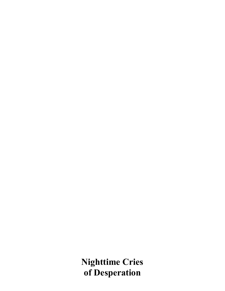**Nighttime Cries of Desperation**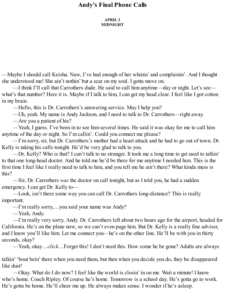### **Andy's Final Phone Calls**

### **APRIL 2 MIDNIGHT**

—Maybe I should call Keisha. Naw, I've had enough of her whinin' and complainin'. And I thought she understood me! She ain't nothin' but a scar on my soul. I gotta move on.

—I think I'll call that Carrothers dude. He said to call him anytime—day or night. Let's see what's that number? Here it is. Maybe if I talk to him, I can get my head clear. I feel like I got cotton in my brain.

—Hello, this is Dr. Carrothers's answering service. May I help you?

—Uh, yeah. My name is Andy Jackson, and I need to talk to Dr. Carrothers—right away.

—Are you a patient of his?

—Yeah, I guess. I've been in to see him several times. He said it was okay for me to call him anytime of the day or night. So I'm callin'. Could you connect me please?

—I'm sorry, sir, but Dr. Carrothers's mother had a heart attack and he had to go out of town. Dr. Kelly is taking his calls tonight. He'd be very glad to talk to you.

—Dr. Kelly? Who is that? I can't talk to no stranger. It took me a long time to get used to talkin' to that one long-head doctor. And he told me he'd be there for me anytime I needed him. This is the first time I feel like I really need to talk to him, and you tell me he ain't there? What kinda mess is this?

—Sir, Dr. Carrothers *was* the doctor on call tonight, but as I told you, he had a sudden emergency. I can get Dr. Kelly to—

—Look, isn't there some way you can call Dr. Carrothers long-distance? This is really important.

—I'm really sorry,…you said your name was Andy?

—Yeah, Andy.

—I'm really very sorry, Andy. Dr. Carrothers left about two hours ago for the airport, headed for California. He's on the plane now, so we can't even page him. But Dr. Kelly is a really fine adviser, and I know you'll like him. Let me connect you—he's on the other line. He'll be with you in thirty seconds, okay?

—Yeah, okay…*click*…Forget this! I don't need this. How come he be gone? Adults are always

talkin' 'bout bein' there when you need them, but then when you decide you do, they be disappeared like dust!

—Okay. What do I do now? I feel like the world is closin' in on me. Wait a minute! I know who's home. Coach Ripley. Of course he's home. Tomorrow is a school day. He's gotta go to work. He's gotta be home. He'll cheer me up. He always makes sense. I wonder if he's asleep.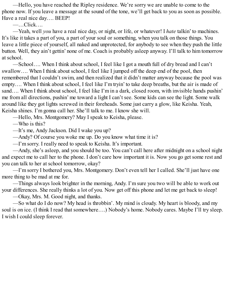—Hello, you have reached the Ripley residence. We're sorry we are unable to come to the phone now. If you leave a message at the sound of the tone, we'll get back to you as soon as possible. Have a real nice day…. BEEP!

—…Click….

—Yeah, well *you* have a real nice day, or night, or life, or whatever! I *hate* talkin' to machines. It's like it takes a part of you, a part of your soul or something, when you talk on those things. You leave a little piece of yourself, all naked and unprotected, for anybody to see when they push the little button. Well, they ain't gettin' none of me. Coach is probably asleep anyway. I'll talk to him tomorrow at school.

—School…. When I think about school, I feel like I got a mouth full of dry bread and I can't swallow…. When I think about school, I feel like I jumped off the deep end of the pool, then remembered that I couldn't swim, and then realized that it didn't matter anyway because the pool was empty…. When I think about school, I feel like I'm tryin' to take deep breaths, but the air is made of sand.... When I think about school, I feel like I'm in a dark, closed room, with invisible hands pushin' me from all directions, pushin' me toward a light I can't see. Some kids can see the light. Some walk around like they got lights screwed in their foreheads. Some just carry a glow, like Keisha. Yeah, Keisha shines. I'm gonna call her. She'll talk to me. I know she will.

—Hello, Mrs. Montgomery? May I speak to Keisha, please.

—Who is this?

—It's me, Andy Jackson. Did I wake you up?

—Andy? Of course you woke me up. Do you know what time it is?

—I'm sorry. I really need to speak to Keisha. It's important.

—Andy, she's asleep, and you should be too. You can't call here after midnight on a school night and expect me to call her to the phone. I don't care how important it is. Now you go get some rest and you can talk to her at school tomorrow, okay?

—I'm sorry I bothered you, Mrs. Montgomery. Don't even tell her I called. She'll just have one more thing to be mad at me for.

—Things always look brighter in the morning, Andy. I'm sure you two will be able to work out your differences. She really thinks a lot of you. Now get off this phone and let me get back to sleep!

—Okay, Mrs. M. Good night, and thanks.

—So what do I do now? My head is throbbin'. My mind is cloudy. My heart is bloody, and my soul is on ice. (I think I read that somewhere….) Nobody's home. Nobody cares. Maybe I'll try sleep. I wish I could sleep forever.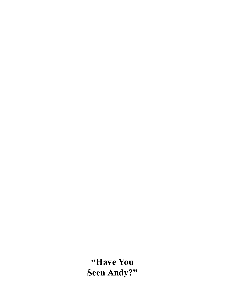**"Have You Seen Andy?"**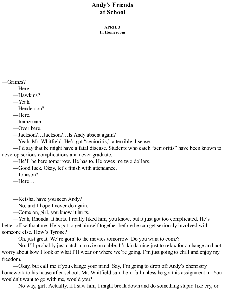## **Andy's Friends at School**

**APRIL 3 In Homeroom**

—Grimes?

—Here.

—Hawkins?

—Yeah.

—Henderson?

—Here.

—Immerman

—Over here.

—Jackson?…Jackson?…Is Andy absent again?

—Yeah, Mr. Whitfield. He's got "senioritis," a terrible disease.

—I'd say that he might have a fatal disease. Students who catch "senioritis" have been known to develop serious complications and never graduate.

—He'll be here tomorrow. He has to. He owes me two dollars.

—Good luck. Okay, let's finish with attendance.

—Johnson?

—Here…

—Keisha, have you seen Andy?

—No, and I hope I never do again.

—Come on, girl, you know it hurts.

—Yeah, Rhonda. It hurts. I really liked him, you know, but it just got too complicated. He's better off without me. He's got to get himself together before he can get seriously involved with someone else. How's Tyrone?

—Oh, just great. We're goin' to the movies tomorrow. Do you want to come?

—No. I'll probably just catch a movie on cable. It's kinda nice just to relax for a change and not worry about how I look or what I'll wear or where we're going. I'm just going to chill and enjoy my freedom.

—Okay, but call me if you change your mind. Say, I'm going to drop off Andy's chemistry homework to his house after school. Mr. Whitfield said he'd fail unless he got this assignment in. You wouldn't want to go with me, would you?

—No way, girl. Actually, if I saw him, I might break down and do something stupid like cry, or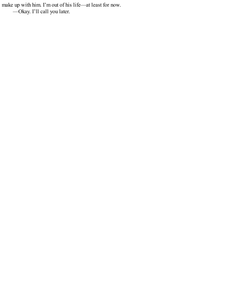make up with him. I'm out of his life—at least for now. —Okay. I'll call you later.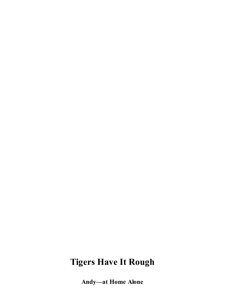# **Tigers Have It Rough**

**Andy—at Home Alone**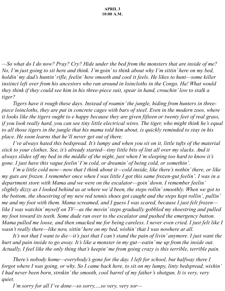$-$ So what do I do now? Pray? Cry? Hide under the bed from the monsters that are inside of me? No, I'm just going to sit here and think. I'm goin' to think about why I'm sittin' here on my bed, *holdin' my dad's huntin'rifle, feelin' how smooth and cool it feels. He likes to hunt—some killer instinct left over from his ancestors who ran around in loincloths in the Congo. Ha! What would* they think if they could see him in his three-piece suit, spear in hand, crouchin' low to stalk a *tiger?*

*Tigers have it rough these days. Instead of roamin' the jungle, hiding from hunters in three*piece loincloths, they are put in concrete cages with bars of steel. Even in the modern zoos, where it looks like the tigers ought to e happy because they are given fifteen or twenty feet of real grass, if you look really hard, you can see tiny little electrical wires. The tiger, who might think he's equal to all those tigers in the jungle that his mama told him about, is quickly reminded to stay in his *place. He soon learns that he'll never get out of there.*

*I've always hated this bedspread. It's lumpy and when you sit on it, little tufts of the material* stick to your clothes. See, it's already started—tiny little bits of lint all over my slacks. And it always slides off my bed in the middle of the night, just when I'm sleeping too hard to know it's *gone. I just have this vague feelin' I'm cold, or dreamin' of being cold, or somethin'.*

*I'm a little cold now—now that I think about it—cold inside, like there's nothin' there, or like* my guts are frozen. I remember once when I was little I got this same frozen-gut feelin'. I was in a *department store with Mama and we were on the escalator—goin' down. I remember feelin' slightly dizzy as I looked behind us at where we'd been, the steps rollin'smoothly. When we got to* the bottom, the shoestring of my new red tennis shoes got caught and the steps kept rollin', pullin' me and my foot with them. Mama screamed, and I guess I was scared, because I just felt frozen *like I was watchin' myself on TV—as the movin'steps gradually gobbled my shoestring and pulled my foot toward its teeth. Some dude ran over to the escalator and pushed the emergency button.* Mama pulled me loose, and then smacked me for being careless. I never even cried. I just felt like I *wasn't really there—like now, sittin' here on my bed, wishin' that I was nowhere at all.*

It's not that I want to die—it's just that I can't stand the pain of livin' anymore. I just want the hurt and pain inside to go away. It's like a monster in my gut—eatin' me up from the inside out. Actually, I feel like the only thing that's keepin' me from going crazy is this terrible, terrible pain.

*There's nobody home—everybody's gone for the day. I left for school, but halfway there I* forgot where I was going, or why. So I came back here, to sit on my lumpy, linty bedspread, wishin' *I had never been born, strokin' the smooth, cool barrel of my father's shotgun. It is very, very quiet.*

*I'm sorry for all I've done—so sorry,…so very, very sor—*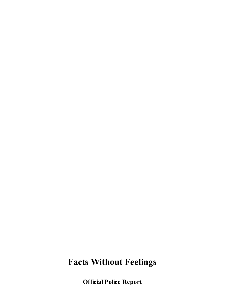## **Facts Without Feelings**

**Official Police Report**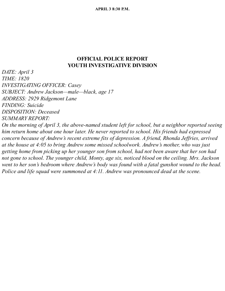#### **OFFICIAL POLICE REPORT YOUTH INVESTIGATIVE DIVISION**

*DATE: April 3 TIME: 1820 INVESTIGATING OFFICER: Casey SUBJECT: Andrew Jackson—male—black, age 17 ADDRESS: 2929 Ridgemont Lane FINDING: Suicide DISPOSITION: Deceased SUMMARY REPORT:*

*On the morning of April 3, the above-named student left for school, but a neighbor reported seeing him return home about one hour later. He never reported to school. His friends had expressed concern because of Andrew's recent extreme fits of depression. A friend, Rhonda Jef ries, arrived at the house at 4:05 to bring Andrew some missed schoolwork. Andrew's mother, who was just getting home from picking up her younger son from school, had not been aware that her son had not gone to school. The younger child, Monty, age six, noticed blood on the ceiling. Mrs. Jackson went to her son's bedroom where Andrew's body was found with a fatal gunshot wound to the head. Police and life squad were summoned at 4:11. Andrew was pronounced dead at the scene.*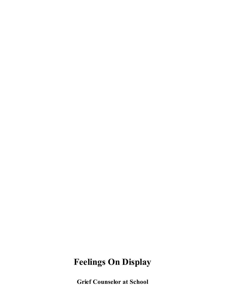# **Feelings On Display**

**Grief Counselor at School**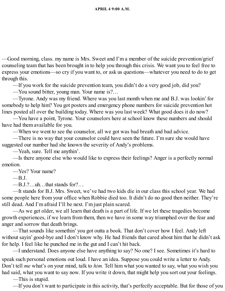—Good morning, class. my name is Mrs. Sweet and I'm a member of the suicide prevention/grief counseling team that has been brought in to help you through this crisis. We want you to feel free to express your emotions—so cry if you want to, or ask us questions—whatever you need to do to get through this.

—If you work for the suicide prevention team, you didn't do a very good job, did you?

—You sound bitter, young man. Your name is?…

—Tyrone. Andy was my friend. Where was you last month when me and B.J. was lookin' for somebody to help him? You got posters and emergency phone numbers for suicide prevention hot lines posted all over the building today. Where was you last week? What good does it do now?

—You have a point, Tyrone. Your counselors here at school know these numbers and should have had them available for you.

—When we went to see the counselor, all we got was bad breath and bad advice.

—There is no way that your counselor could have seen the future. I'm sure she would have suggested our number had she known the severity of Andy's problems.

—Yeah, sure. Tell me anythin'.

—Is there anyone else who would like to express their feelings? Anger is a perfectly normal emotion.

—Yes? Your name?

 $-B.J.$ 

—B.J.?…uh…that stands for?…

—It stands for B.J. Mrs. Sweet, we've had two kids die in our class this school year. We had some people here from your office when Robbie died too. It didn't do no good then neither. They're still dead. And I'm afraid I'll be next. I'm just plain scared.

—As we get older, we all learn that death is a part of life. If we let these tragedies become growth experiences, if we learn from them, then we have in some way triumphed over the fear and anger and sorrow that death brings.

—That sounds like somethin' you got outta a book. That don't cover how I feel. Andy left without sayin' good-bye and I don't know why. He had friends that cared about him that he didn't ask for help. I feel like he punched me in the gut and I can't hit back.

—I understand. Does anyone else have anything to say? No one? I see. Sometimes it's hard to speak such personal emotions out loud. I have an idea. Suppose you could write a letter to Andy. Don't tell *me* what's on your mind, talk to *him.* Tell him what you wanted to say, what you wish you had said, what you want to say now. If you write it down, that might help you sort out your feelings.

—This is stupid.

—If you don't want to participate in this activity, that's perfectly acceptable. But for those of you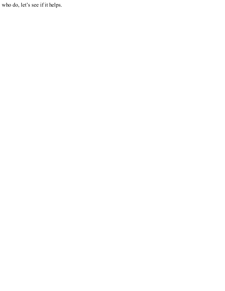who do, let's see if it helps.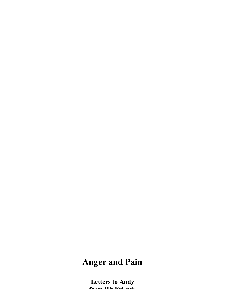## **Anger and Pain**

**Letters to Andy from His Friends**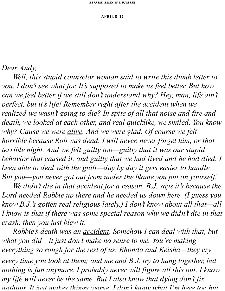#### **APRIL 8–12**

### *Dear Andy,*

*Well, this stupid counselor woman said to write this dumb letter to you. I don 't see what for. It' s supposed to make us feel better. But how can we feel better if we still don 't understand why? Hey, man, life ain 't perfect, but it' s life! Remember right after the accident when we realized we wasn 't going to die? In spite of all that noise and fire and death, we looked at each other, and real quicklike, we smiled. You know why? Cause we were alive. And we were glad. Of course we felt horrible because Rob was dead. I will never, never forget him, or that terrible night. And we felt guilty too—guilty that it was our stupid behavior that caused it, and guilty that we had lived and he had died. I been able to deal with the guilt—day by day it gets easier to handle. But you—you never got out from under the blame you put on yourself.*

*We didn 't die in that accident for a reason. B.J. says it' s because the Lord needed Robbie up there and he needed us down here. (I guess you know B.J.' s gotten real religious lately.) I don 't know about all that—all I know is that if there was some special reason why we didn 't die in that crash, then you just blew it.*

*Robbie ' s death was an accident. Somehow I can deal with that, but what you did—it just don 't make no sense to me. You ' re making everything so rough for the rest of us. Rhonda and Keisha—they cry every time you look at them; and me and B.J. try to hang together, but nothing is fun anymore. I probably never will figure all this out. I know my life will never be the same. But I also know that dying don 't fix nothing. It just makes things worse. I don 't know what I' m here for, but*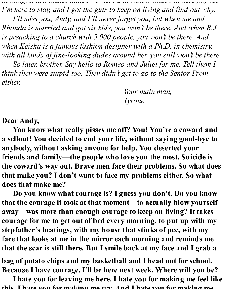*nothing. It just makes things worse. I don 't know what I' m here for, but I' m here to stay, and I got the guts to keep on living and find out why.*

*I'll miss you, Andy, and I'll never forget you, but when me and Rhonda is married and got six kids, you won 't be there. And when B.J. is preaching to a church with 5,000 people, you won 't be there. And when Keisha is a famous fashion designer with a Ph.D. in chemistry, with all kinds of fine-looking dudes around her, you still won 't be there.*

*So later, brother. Say hello to Romeo and Juliet for me. Tell them I think they were stupid too. They didn 't get to go to the Senior Prom either.*

> *Your main man, Tyrone*

**Dear Andy,**

**You know what really pisses me off? You! You're a coward and a sellout! You decided to end your life, without saying good-bye to anybody, without asking anyone for help. You deserted your friends and family—the people who love you the most. Suicide is the coward's way out. Brave men face their problems. So what does that make you? I don't want to face my problems either. So what does that make me?**

**Do you know what courage is? I guess you don't. Do you know that the courage it took at that moment—to actually blow yourself away—was more than enough courage to keep on living? It takes courage for me to get out of bed every morning, to put up with my stepfather's beatings, with my house that stinks of pee, with my face that looks at me in the mirror each morning and reminds me that the scar is still there. But I smile back at my face and I grab a**

**bag of potato chips and my basketball and I head out for school. Because I have courage. I'll be here next week. Where will you be?**

**I hate you for leaving me here. I hate you for making me feel like this. I hate you for making me cry. And I hate you for making me**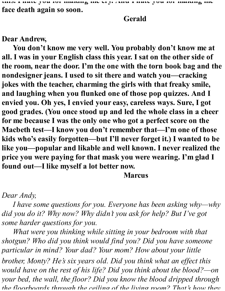**this. I hate you for making me cry. And I hate you for making me face death again so soon.**

#### **Gerald**

#### **Dear Andrew,**

**You don't know me very well. You probably don't know me at all. I was in your English class this year. I sat on the other side of the room, near the door. I'm the one with the torn book bag and the nondesigner jeans. I used to sit there and watch you—cracking jokes with the teacher, charming the girls with that freaky smile, and laughing when you flunked one of those pop quizzes. And I envied you. Oh yes, I envied your easy, careless ways. Sure, I got good grades. (You once stood up and led the whole class in a cheer for me because I was the only one who got a perfect score on the Macbeth test—I know you don't remember that—I'm one of those kids who's easily forgotten—but I'll never forget it.) I wanted to be like you—popular and likable and well known. I never realized the price you were paying for that mask you were wearing. I'm glad I found out—I like myself a lot better now.**

#### **Marcus**

### *Dear Andy,*

*I have some questions for you. Everyone has been asking why—why did you do it? Why now? Why didn 't you ask for help? But I' ve got some harder questions for you.*

*What were you thinking while sitting in your bedroom with that shotgun? Who did you think would find you? Did you have someone particular in mind? Your dad? Your mom? How about your little*

*brother, Monty? He ' s six years old. Did you think what an ef ect this would have on the rest of his life? Did you think about the blood?—on your bed, the wall, the floor? Did you know the blood dripped through the floorboards through the ceiling of the living room? That' s how they*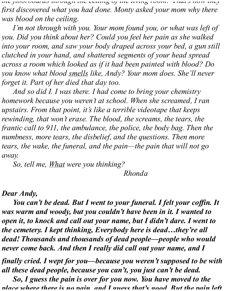*the floorboards through the ceiling of the living room? That' s how they first discovered what you had done. Monty asked your mom why there was blood on the ceiling.*

*I' m not through with you. Your mom found you, or what was left of you. Did you think about her? Could you feel her pain as she walked into your room, and saw your body draped across your bed, a gun still clutched in your hand, and shattered segments of your head spread across a room which looked as if it had been painted with blood? Do you know what blood smells like, Andy? Your mom does. She 'll never forget it. Part of her died that day too.*

*And so did I. I was there. I had come to bring your chemistry homework because you weren 't at school. When she screamed, I ran upstairs. From that point, it' s like a terrible videotape that keeps rewinding, that won 't erase. The blood, the screams, the tears, the frantic call to 911, the ambulance, the police, the body bag. Then the numbness, more tears, the disbelief, and the questions. Then more tears, the wake, the funeral, and the pain—the pain that will not go away.*

*So, tell me, What were you thinking?*

*Rhonda*

#### *Dear Andy,*

*You can't be dead. But I went to your funeral. I felt your cof in. It was warm and woody, but you couldn't have been in it. I wanted to open it, to knock and call out your name, but I didn't dare. I went to the cemetery. I kept thinking, Everybody here is dead…they're all dead! Thousands and thousands of dead people—people who would never come back. And then I really did call out your name, and I*

*finally cried. I wept for you—because you weren't supposed to be with all these dead people, because you can't, you just can't be dead.*

*So, I guess the pain is over for you now. You have moved to the place where there is no pain, and I guess that's good. But the pain left*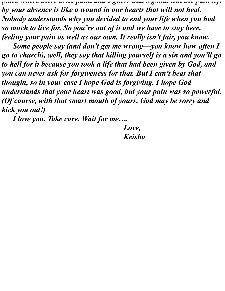*place where there is no pain, and I guess that's good. But the pain left by your absence is like a wound in our hearts that will not heal. Nobody understands why you decided to end your life when you had so much to live for. So you're out of it and we have to stay here, feeling your pain as well as our own. It really isn't fair, you know.*

*Some people say (and don't get me wrong—you know how often I go to church), well, they say that killing yourself is a sin and you'll go to hell for it because you took a life that had been given by God, and you can never ask for forgiveness for that. But I can't bear that thought, so in your case I hope God is forgiving. I hope God understands that your heart was good, but your pain was so powerful. (Of course, with that smart mouth of yours, God may be sorry and kick you out!)*

*I love you. Take care. Wait for me….*

*Love, Keisha*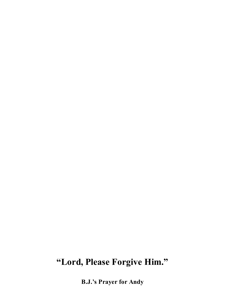## **"Lord, Please Forgive Him."**

**B.J.'s Prayer for Andy**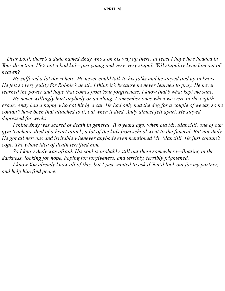-Dear Lord, there's a dude named Andy who's on his way up there, at least I hope he's headed in Your direction. He's not a bad kid-just young and very, very stupid. Will stupidity keep him out of *heaven?*

He suffered a lot down here. He never could talk to his folks and he stayed tied up in knots. He felt so very guilty for Robbie's death. I think it's because he never learned to pray. He never *learned the power and hope that comes from Your forgiveness. I know that's what kept me sane.*

*He never willingly hurt anybody or anything. I remember once when we were in the eighth* grade, Andy had a puppy who got hit by a car. He had only had the dog for a couple of weeks, so he *couldn't have been that attached to it, but when it died, Andy almost fell apart. He stayed depressed for weeks.*

I think Andy was scared of death in general. Two years ago, when old Mr. Mancilli, one of our gym teachers, died of a heart attack, a lot of the kids from school went to the funeral. But not Andy. *He got all nervous and irritable whenever anybody even mentioned Mr. Mancilli. He just couldn't cope. The whole idea of death terrified him.*

*So I know Andy was afraid. His soul is probably still out there somewhere—floating in the darkness, looking for hope, hoping for forgiveness, and terribly, terribly frightened.*

I know You already know all of this, but I just wanted to ask if You'd look out for my partner, *and help him find peace.*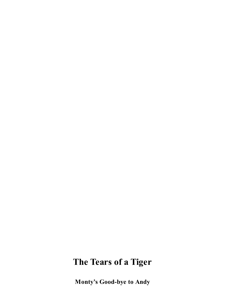### **The Tears of a Tiger**

**Monty's Good-bye to Andy**